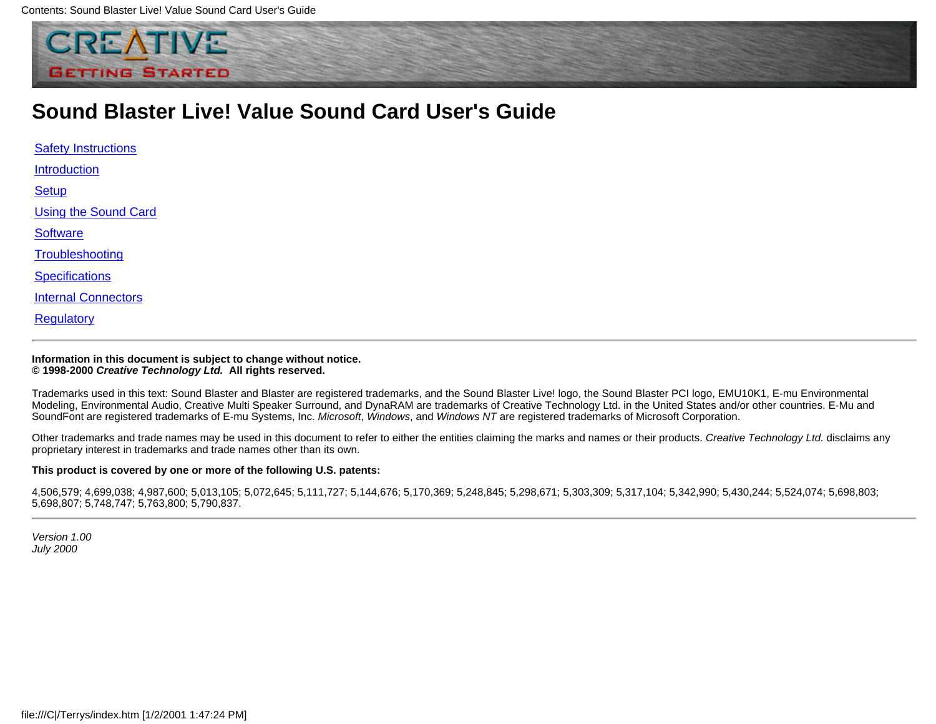

### **Sound Blaster Live! Value Sound Card User's Guide**

<span id="page-0-0"></span>

| <b>Safety Instructions</b> |
|----------------------------|
| Introduction               |
| <b>Setup</b>               |
| Using the Sound Card       |
| <b>Software</b>            |
| Troubleshooting            |
| <b>Specifications</b>      |
| <b>Internal Connectors</b> |
| Regulatory                 |

#### **Information in this document is subject to change without notice. © 1998-2000** *Creative Technology Ltd.* **All rights reserved.**

Trademarks used in this text: Sound Blaster and Blaster are registered trademarks, and the Sound Blaster Live! logo, the Sound Blaster PCI logo, EMU10K1, E-mu Environmental Modeling, Environmental Audio, Creative Multi Speaker Surround, and DynaRAM are trademarks of Creative Technology Ltd. in the United States and/or other countries. E-Mu and SoundFont are registered trademarks of E-mu Systems, Inc. *Microsoft*, *Windows*, and *Windows NT* are registered trademarks of Microsoft Corporation.

Other trademarks and trade names may be used in this document to refer to either the entities claiming the marks and names or their products. *Creative Technology Ltd.* disclaims any proprietary interest in trademarks and trade names other than its own.

#### **This product is covered by one or more of the following U.S. patents:**

4,506,579; 4,699,038; 4,987,600; 5,013,105; 5,072,645; 5,111,727; 5,144,676; 5,170,369; 5,248,845; 5,298,671; 5,303,309; 5,317,104; 5,342,990; 5,430,244; 5,524,074; 5,524,074; 5,688,803; 5,698,807; 5,748,747; 5,763,800; 5,790,837.

*Version 1.00 July 2000*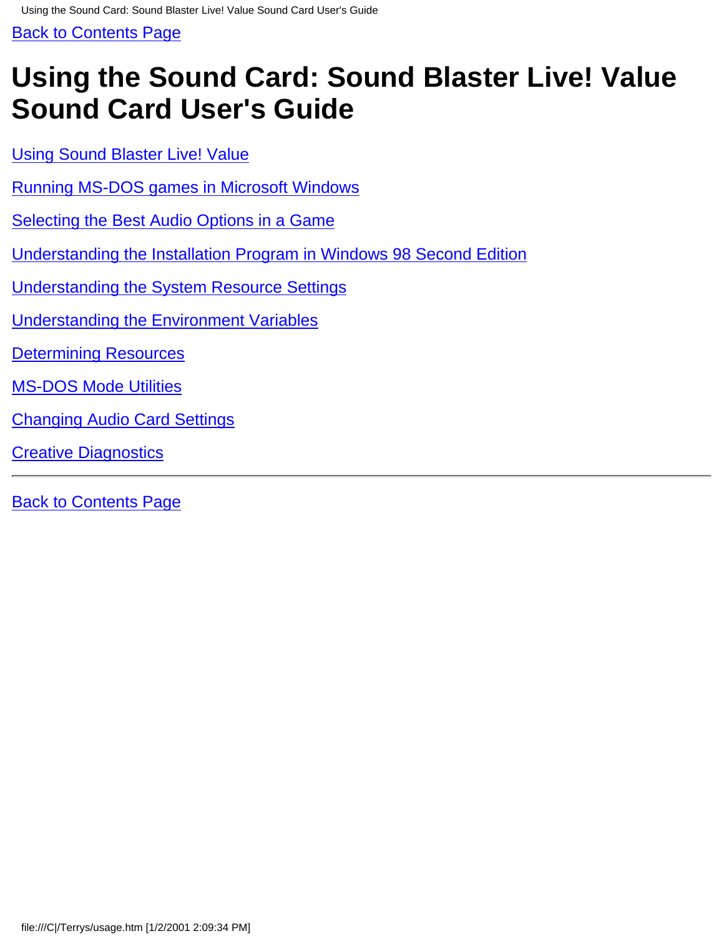<span id="page-1-0"></span>Using the Sound Card: Sound Blaster Live! Value Sound Card User's Guide

[Back to Contents Page](#page-0-0)

# **Using the Sound Card: Sound Blaster Live! Value Sound Card User's Guide**

[Using Sound Blaster Live! Value](#page-47-0)

- [Running MS-DOS games in Microsoft Windows](#page-54-0)
- [Selecting the Best Audio Options in a Game](#page-55-0)
- [Understanding the Installation Program in Windows 98 Second Edition](#page-57-0)
- [Understanding the System Resource Settings](#page-43-0)
- [Understanding the Environment Variables](#page-2-0)
- [Determining Resources](#page-41-0)
- [MS-DOS Mode Utilities](#page-7-0)
- [Changing Audio Card Settings](#page-45-0)
- [Creative Diagnostics](#page-59-0)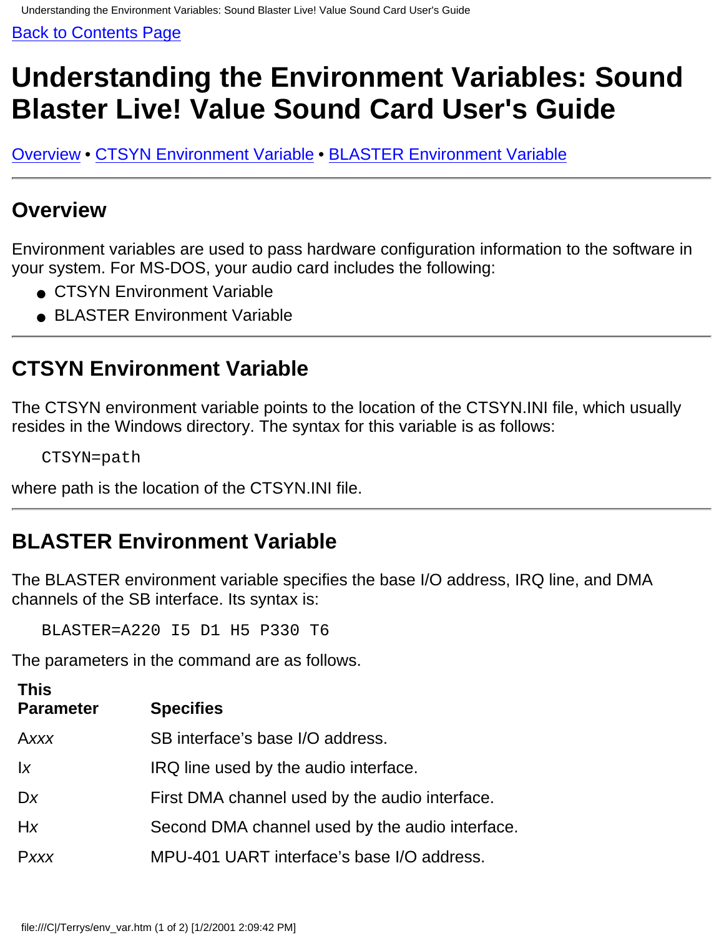# <span id="page-2-0"></span>**Understanding the Environment Variables: Sound Blaster Live! Value Sound Card User's Guide**

Overview • CTSYN Environment Variable • BLASTER Environment Variable

### **Overview**

Environment variables are used to pass hardware configuration information to the software in your system. For MS-DOS, your audio card includes the following:

- CTSYN Environment Variable
- BLASTER Environment Variable

### **CTSYN Environment Variable**

The CTSYN environment variable points to the location of the CTSYN.INI file, which usually resides in the Windows directory. The syntax for this variable is as follows:

CTSYN=path

where path is the location of the CTSYN.INI file.

## **BLASTER Environment Variable**

The BLASTER environment variable specifies the base I/O address, IRQ line, and DMA channels of the SB interface. Its syntax is:

BLASTER=A220 I5 D1 H5 P330 T6

The parameters in the command are as follows.

| <b>This</b><br><b>Parameter</b> | <b>Specifies</b>                                |
|---------------------------------|-------------------------------------------------|
| Axxx                            | SB interface's base I/O address.                |
| $\mathsf{I}$                    | IRQ line used by the audio interface.           |
| Dx                              | First DMA channel used by the audio interface.  |
| Hx                              | Second DMA channel used by the audio interface. |
| Pxxx                            | MPU-401 UART interface's base I/O address.      |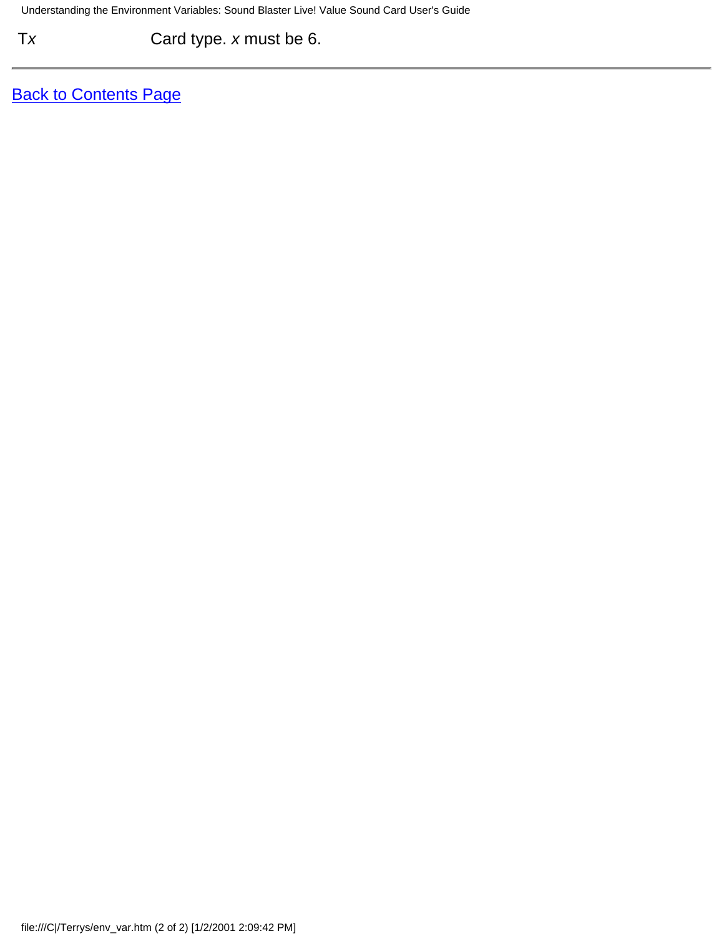T*x* Card type. *x* must be 6.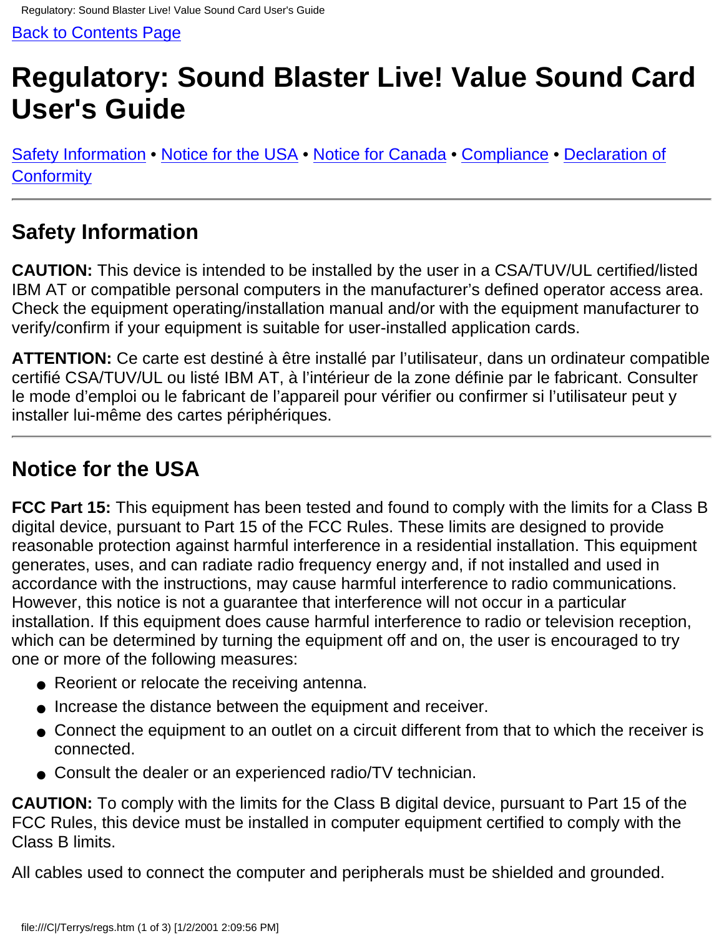# <span id="page-4-0"></span>**Regulatory: Sound Blaster Live! Value Sound Card User's Guide**

[Safety Information](#page-4-1) • [Notice for the USA](#page-4-2) • [Notice for Canada](#page-5-0) • [Compliance](#page-5-1) • [Declaration of](#page-5-2) **[Conformity](#page-5-2)** 

## <span id="page-4-1"></span>**Safety Information**

**CAUTION:** This device is intended to be installed by the user in a CSA/TUV/UL certified/listed IBM AT or compatible personal computers in the manufacturer's defined operator access area. Check the equipment operating/installation manual and/or with the equipment manufacturer to verify/confirm if your equipment is suitable for user-installed application cards.

**ATTENTION:** Ce carte est destiné à être installé par l'utilisateur, dans un ordinateur compatible certifié CSA/TUV/UL ou listé IBM AT, à l'intérieur de la zone définie par le fabricant. Consulter le mode d'emploi ou le fabricant de l'appareil pour vérifier ou confirmer si l'utilisateur peut y installer lui-même des cartes périphériques.

## <span id="page-4-2"></span>**Notice for the USA**

**FCC Part 15:** This equipment has been tested and found to comply with the limits for a Class B digital device, pursuant to Part 15 of the FCC Rules. These limits are designed to provide reasonable protection against harmful interference in a residential installation. This equipment generates, uses, and can radiate radio frequency energy and, if not installed and used in accordance with the instructions, may cause harmful interference to radio communications. However, this notice is not a guarantee that interference will not occur in a particular installation. If this equipment does cause harmful interference to radio or television reception, which can be determined by turning the equipment off and on, the user is encouraged to try one or more of the following measures:

- Reorient or relocate the receiving antenna.
- Increase the distance between the equipment and receiver.
- Connect the equipment to an outlet on a circuit different from that to which the receiver is connected.
- Consult the dealer or an experienced radio/TV technician.

**CAUTION:** To comply with the limits for the Class B digital device, pursuant to Part 15 of the FCC Rules, this device must be installed in computer equipment certified to comply with the Class B limits.

All cables used to connect the computer and peripherals must be shielded and grounded.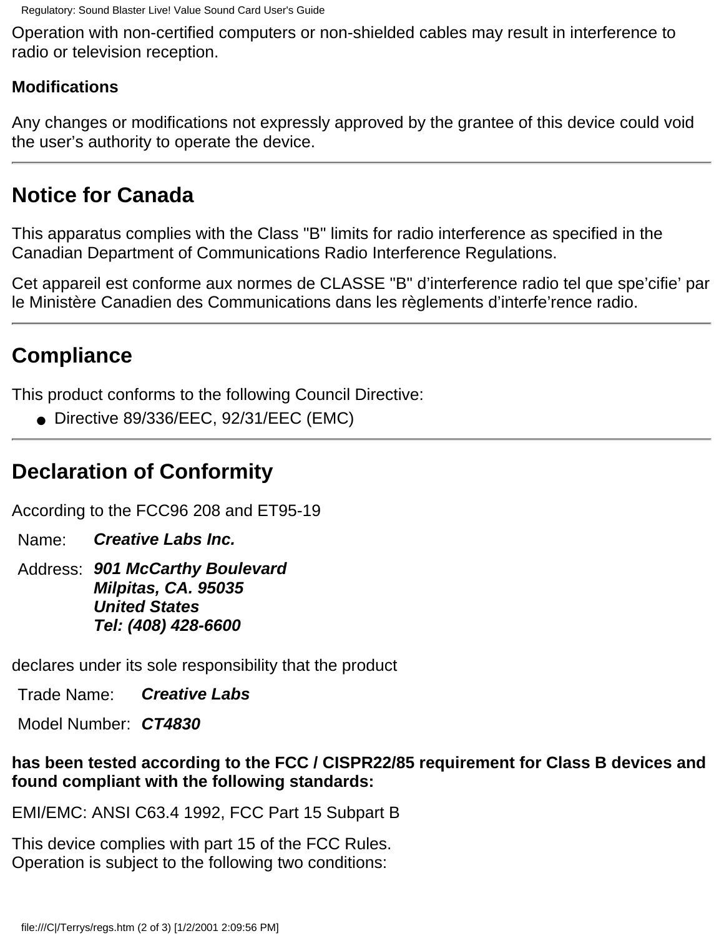Operation with non-certified computers or non-shielded cables may result in interference to radio or television reception.

#### **Modifications**

Any changes or modifications not expressly approved by the grantee of this device could void the user's authority to operate the device.

## <span id="page-5-0"></span>**Notice for Canada**

This apparatus complies with the Class "B" limits for radio interference as specified in the Canadian Department of Communications Radio Interference Regulations.

Cet appareil est conforme aux normes de CLASSE "B" d'interference radio tel que spe'cifie' par le Ministère Canadien des Communications dans les règlements d'interfe'rence radio.

### <span id="page-5-1"></span>**Compliance**

This product conforms to the following Council Directive:

● Directive 89/336/EEC, 92/31/EEC (EMC)

## <span id="page-5-2"></span>**Declaration of Conformity**

According to the FCC96 208 and ET95-19

Name: *Creative Labs Inc.*

Address: *901 McCarthy Boulevard Milpitas, CA. 95035 United States Tel: (408) 428-6600*

declares under its sole responsibility that the product

Trade Name: *Creative Labs*

Model Number: *CT4830*

#### **has been tested according to the FCC / CISPR22/85 requirement for Class B devices and found compliant with the following standards:**

EMI/EMC: ANSI C63.4 1992, FCC Part 15 Subpart B

This device complies with part 15 of the FCC Rules. Operation is subject to the following two conditions: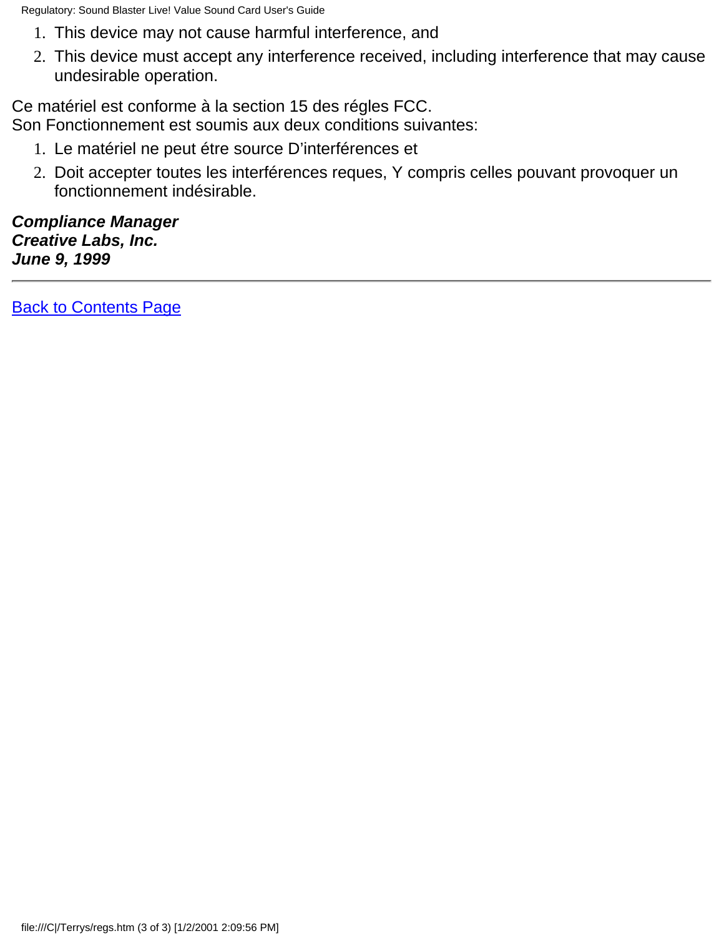Regulatory: Sound Blaster Live! Value Sound Card User's Guide

- 1. This device may not cause harmful interference, and
- This device must accept any interference received, including interference that may cause 2. undesirable operation.

Ce matériel est conforme à la section 15 des régles FCC.

Son Fonctionnement est soumis aux deux conditions suivantes:

- 1. Le matériel ne peut étre source D'interférences et
- Doit accepter toutes les interférences reques, Y compris celles pouvant provoquer un 2. fonctionnement indésirable.

*Compliance Manager Creative Labs, Inc. June 9, 1999*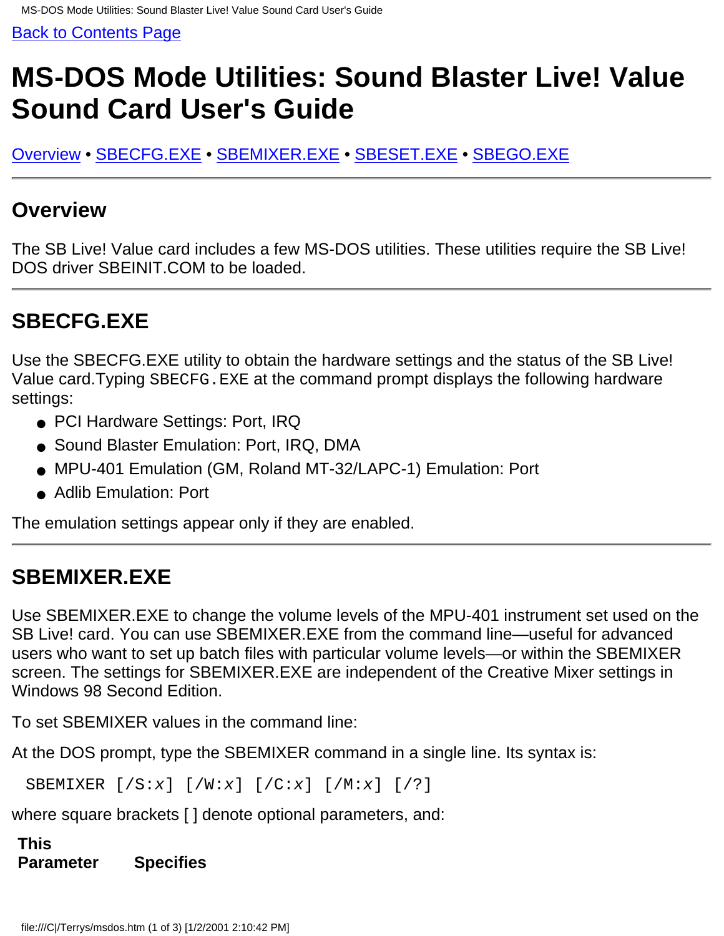# <span id="page-7-0"></span>**MS-DOS Mode Utilities: Sound Blaster Live! Value Sound Card User's Guide**

Overview • SBECFG.EXE • SBEMIXER.EXE • SBESET.EXE • SBEGO.EXE

### **Overview**

The SB Live! Value card includes a few MS-DOS utilities. These utilities require the SB Live! DOS driver SBEINIT.COM to be loaded.

## **SBECFG.EXE**

Use the SBECFG.EXE utility to obtain the hardware settings and the status of the SB Live! Value card.Typing SBECFG.EXE at the command prompt displays the following hardware settings:

- PCI Hardware Settings: Port, IRQ
- Sound Blaster Emulation: Port, IRQ, DMA
- MPU-401 Emulation (GM, Roland MT-32/LAPC-1) Emulation: Port
- Adlib Emulation: Port

The emulation settings appear only if they are enabled.

## **SBEMIXER.EXE**

Use SBEMIXER.EXE to change the volume levels of the MPU-401 instrument set used on the SB Live! card. You can use SBEMIXER.EXE from the command line—useful for advanced users who want to set up batch files with particular volume levels—or within the SBEMIXER screen. The settings for SBEMIXER.EXE are independent of the Creative Mixer settings in Windows 98 Second Edition.

To set SBEMIXER values in the command line:

At the DOS prompt, type the SBEMIXER command in a single line. Its syntax is:

SBEMIXER [/S:*x*] [/W:*x*] [/C:*x*] [/M:*x*] [/?]

where square brackets [ ] denote optional parameters, and:

**This Parameter Specifies**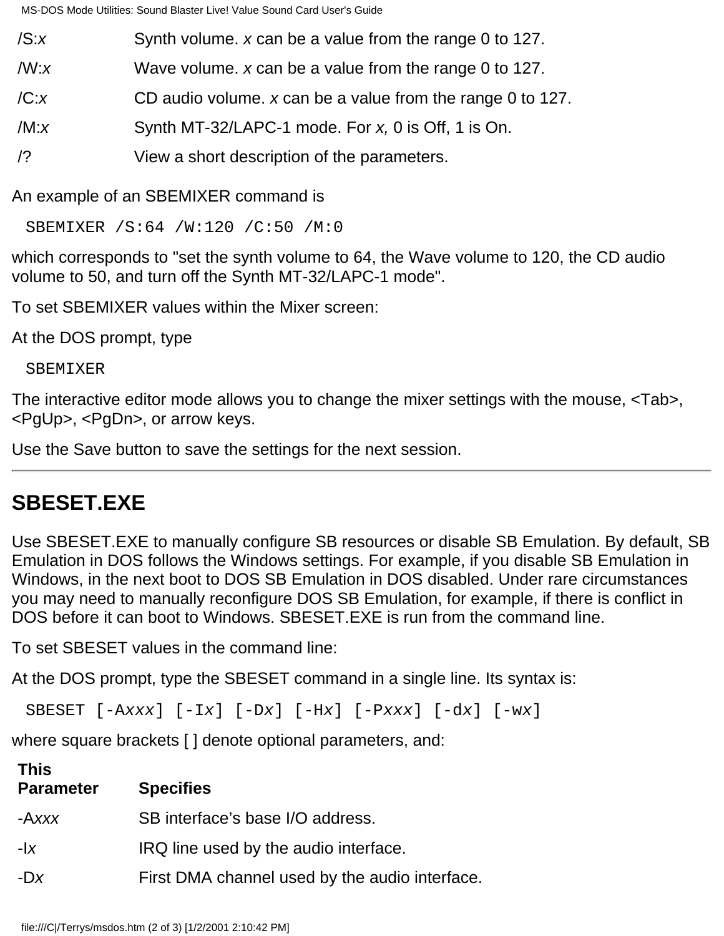MS-DOS Mode Utilities: Sound Blaster Live! Value Sound Card User's Guide

- /S:*x* Synth volume. *x* can be a value from the range 0 to 127.
- /W:*x* Wave volume. *x* can be a value from the range 0 to 127.
- /C:*x* CD audio volume. *x* can be a value from the range 0 to 127.
- /M:*x* Synth MT-32/LAPC-1 mode. For *x,* 0 is Off, 1 is On.
- /? View a short description of the parameters.

An example of an SBEMIXER command is

SBEMIXER /S:64 /W:120 /C:50 /M:0

which corresponds to "set the synth volume to 64, the Wave volume to 120, the CD audio volume to 50, and turn off the Synth MT-32/LAPC-1 mode".

To set SBEMIXER values within the Mixer screen:

At the DOS prompt, type

#### SBEMIXER

The interactive editor mode allows you to change the mixer settings with the mouse, <Tab>, <PgUp>, <PgDn>, or arrow keys.

Use the Save button to save the settings for the next session.

## **SBESET.EXE**

Use SBESET.EXE to manually configure SB resources or disable SB Emulation. By default, SB Emulation in DOS follows the Windows settings. For example, if you disable SB Emulation in Windows, in the next boot to DOS SB Emulation in DOS disabled. Under rare circumstances you may need to manually reconfigure DOS SB Emulation, for example, if there is conflict in DOS before it can boot to Windows. SBESET.EXE is run from the command line.

To set SBESET values in the command line:

At the DOS prompt, type the SBESET command in a single line. Its syntax is:

SBESET [-A*xxx*] [-I*x*] [-D*x*] [-H*x*] [-P*xxx*] [-d*x*] [-w*x*]

where square brackets [ ] denote optional parameters, and:

| <b>This</b><br><b>Parameter</b> | <b>Specifies</b>                               |
|---------------------------------|------------------------------------------------|
| -Axxx                           | SB interface's base I/O address.               |
| $- x $                          | IRQ line used by the audio interface.          |
| $-Dx$                           | First DMA channel used by the audio interface. |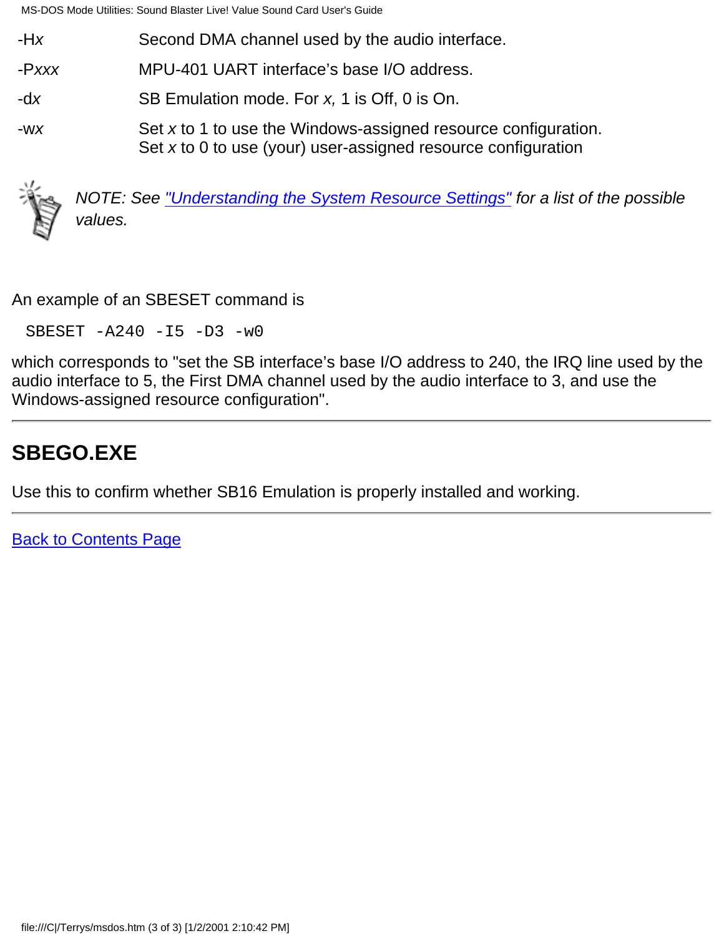MS-DOS Mode Utilities: Sound Blaster Live! Value Sound Card User's Guide

- -H*x* Second DMA channel used by the audio interface.
- -P*xxx* MPU-401 UART interface's base I/O address.
- -d*x* SB Emulation mode. For *x,* 1 is Off, 0 is On.
- -w*x* Set *x* to 1 to use the Windows-assigned resource configuration. Set *x* to 0 to use (your) user-assigned resource configuration



*NOTE: See ["Understanding the System Resource Settings"](#page-43-0) for a list of the possible values.*

An example of an SBESET command is

SBESET -A240 -I5 -D3 -w0

which corresponds to "set the SB interface's base I/O address to 240, the IRQ line used by the audio interface to 5, the First DMA channel used by the audio interface to 3, and use the Windows-assigned resource configuration".

## **SBEGO.EXE**

Use this to confirm whether SB16 Emulation is properly installed and working.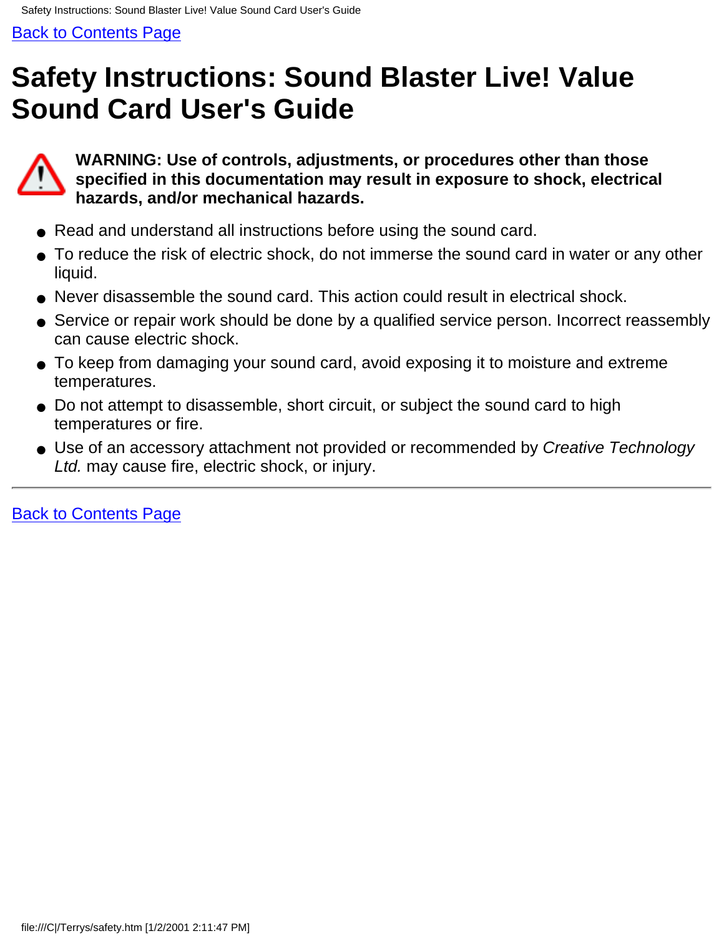# <span id="page-10-0"></span>**Safety Instructions: Sound Blaster Live! Value Sound Card User's Guide**



**WARNING: Use of controls, adjustments, or procedures other than those specified in this documentation may result in exposure to shock, electrical hazards, and/or mechanical hazards.**

- Read and understand all instructions before using the sound card.
- To reduce the risk of electric shock, do not immerse the sound card in water or any other liquid.
- Never disassemble the sound card. This action could result in electrical shock.
- Service or repair work should be done by a qualified service person. Incorrect reassembly can cause electric shock.
- To keep from damaging your sound card, avoid exposing it to moisture and extreme temperatures.
- Do not attempt to disassemble, short circuit, or subject the sound card to high temperatures or fire.
- Use of an accessory attachment not provided or recommended by *Creative Technology Ltd.* may cause fire, electric shock, or injury.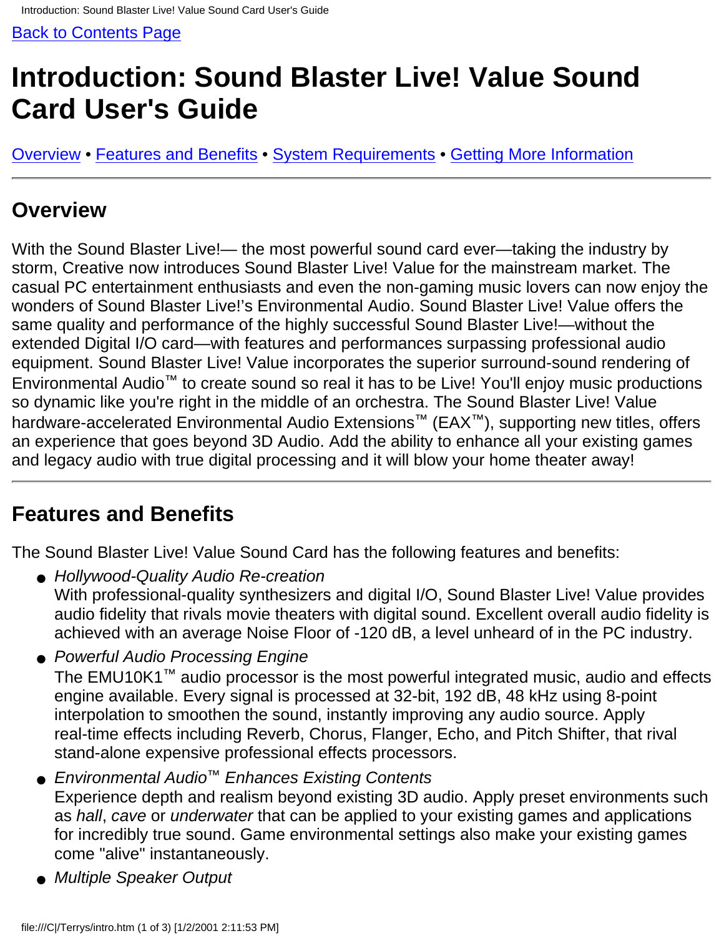# <span id="page-11-0"></span>**Introduction: Sound Blaster Live! Value Sound Card User's Guide**

Overview • Features and Benefits • System Requirements • Getting More Information

### **Overview**

With the Sound Blaster Live!— the most powerful sound card ever—taking the industry by storm, Creative now introduces Sound Blaster Live! Value for the mainstream market. The casual PC entertainment enthusiasts and even the non-gaming music lovers can now enjoy the wonders of Sound Blaster Live!'s Environmental Audio. Sound Blaster Live! Value offers the same quality and performance of the highly successful Sound Blaster Live!—without the extended Digital I/O card—with features and performances surpassing professional audio equipment. Sound Blaster Live! Value incorporates the superior surround-sound rendering of Environmental Audio™ to create sound so real it has to be Live! You'll enjoy music productions so dynamic like you're right in the middle of an orchestra. The Sound Blaster Live! Value hardware-accelerated Environmental Audio Extensions™ (EAX™), supporting new titles, offers an experience that goes beyond 3D Audio. Add the ability to enhance all your existing games and legacy audio with true digital processing and it will blow your home theater away!

### **Features and Benefits**

The Sound Blaster Live! Value Sound Card has the following features and benefits:

- Hollywood-Quality Audio Re-creation With professional-quality synthesizers and digital I/O, Sound Blaster Live! Value provides audio fidelity that rivals movie theaters with digital sound. Excellent overall audio fidelity is achieved with an average Noise Floor of -120 dB, a level unheard of in the PC industry.
- Powerful Audio Processing Engine The EMU10K1™ audio processor is the most powerful integrated music, audio and effects engine available. Every signal is processed at 32-bit, 192 dB, 48 kHz using 8-point interpolation to smoothen the sound, instantly improving any audio source. Apply real-time effects including Reverb, Chorus, Flanger, Echo, and Pitch Shifter, that rival stand-alone expensive professional effects processors.
- *Environmental Audio™ Enhances Existing Contents* Experience depth and realism beyond existing 3D audio. Apply preset environments such as *hall*, *cave* or *underwater* that can be applied to your existing games and applications for incredibly true sound. Game environmental settings also make your existing games come "alive" instantaneously.
- *Multiple Speaker Output*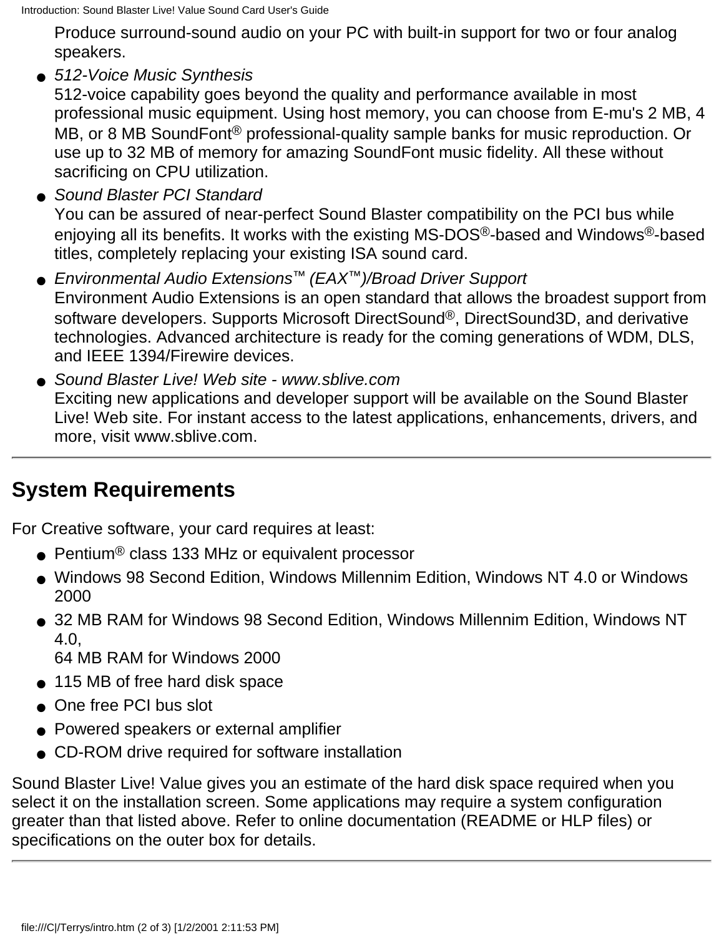Produce surround-sound audio on your PC with built-in support for two or four analog speakers.

*512-Voice Music Synthesis* ●

512-voice capability goes beyond the quality and performance available in most professional music equipment. Using host memory, you can choose from E-mu's 2 MB, 4 MB, or 8 MB SoundFont<sup>®</sup> professional-quality sample banks for music reproduction. Or use up to 32 MB of memory for amazing SoundFont music fidelity. All these without sacrificing on CPU utilization.

● Sound Blaster PCI Standard

You can be assured of near-perfect Sound Blaster compatibility on the PCI bus while enjoying all its benefits. It works with the existing MS-DOS®-based and Windows®-based titles, completely replacing your existing ISA sound card.

- *Environmental Audio Extensions™ (EAX™)/Broad Driver Support* Environment Audio Extensions is an open standard that allows the broadest support from software developers. Supports Microsoft DirectSound®, DirectSound3D, and derivative technologies. Advanced architecture is ready for the coming generations of WDM, DLS, and IEEE 1394/Firewire devices.
- Sound Blaster Live! Web site www.sblive.com Exciting new applications and developer support will be available on the Sound Blaster Live! Web site. For instant access to the latest applications, enhancements, drivers, and more, visit www.sblive.com.

## **System Requirements**

For Creative software, your card requires at least:

- Pentium<sup>®</sup> class 133 MHz or equivalent processor
- Windows 98 Second Edition, Windows Millennim Edition, Windows NT 4.0 or Windows 2000
- 32 MB RAM for Windows 98 Second Edition, Windows Millennim Edition, Windows NT  $4.0$ .

64 MB RAM for Windows 2000

- 115 MB of free hard disk space
- One free PCI bus slot
- Powered speakers or external amplifier
- CD-ROM drive required for software installation

Sound Blaster Live! Value gives you an estimate of the hard disk space required when you select it on the installation screen. Some applications may require a system configuration greater than that listed above. Refer to online documentation (README or HLP files) or specifications on the outer box for details.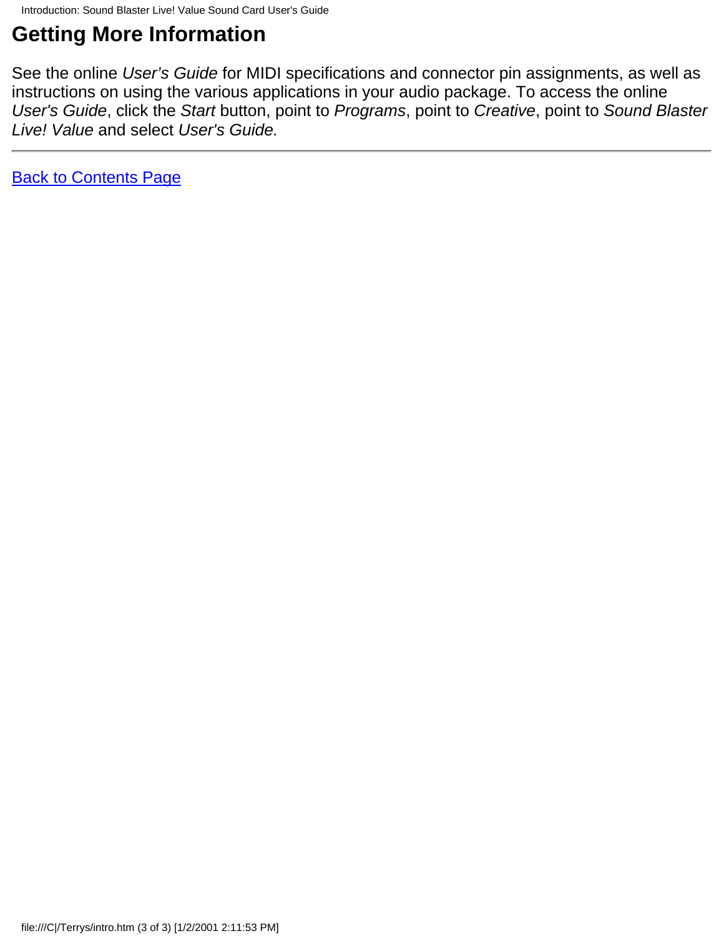## **Getting More Information**

See the online *User's Guide* for MIDI specifications and connector pin assignments, as well as instructions on using the various applications in your audio package. To access the online *User's Guide*, click the *Start* button, point to *Programs*, point to *Creative*, point to *Sound Blaster Live! Value* and select *User's Guide.*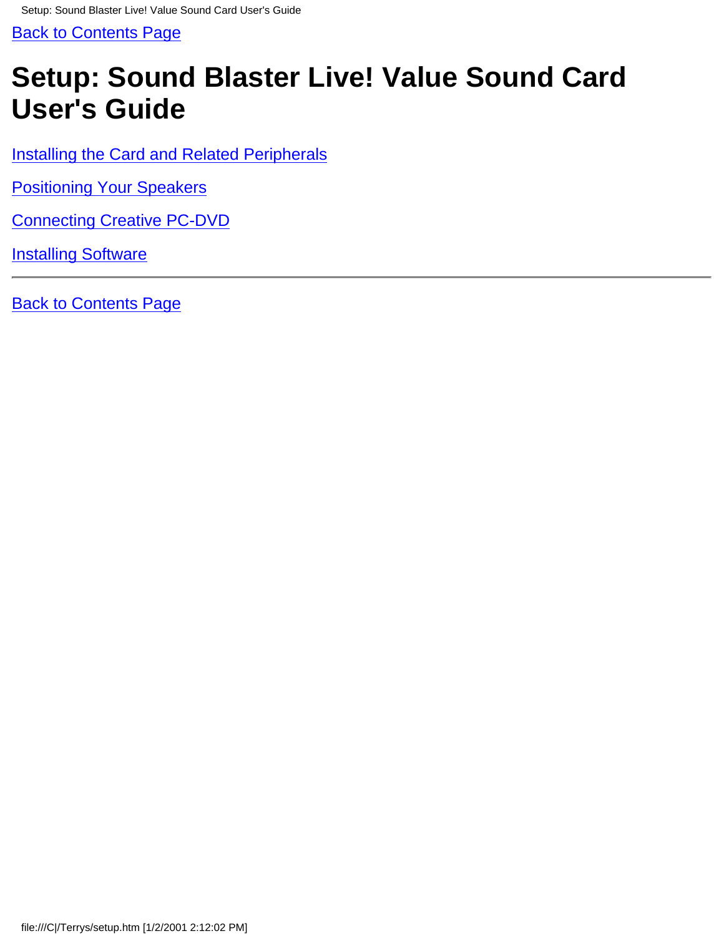<span id="page-14-0"></span>Setup: Sound Blaster Live! Value Sound Card User's Guide

[Back to Contents Page](#page-0-0)

# **Setup: Sound Blaster Live! Value Sound Card User's Guide**

[Installing the Card and Related Peripherals](#page-50-0)

[Positioning Your Speakers](#page-53-0)

[Connecting Creative PC-DVD](#page-39-0)

**[Installing Software](#page-15-0)**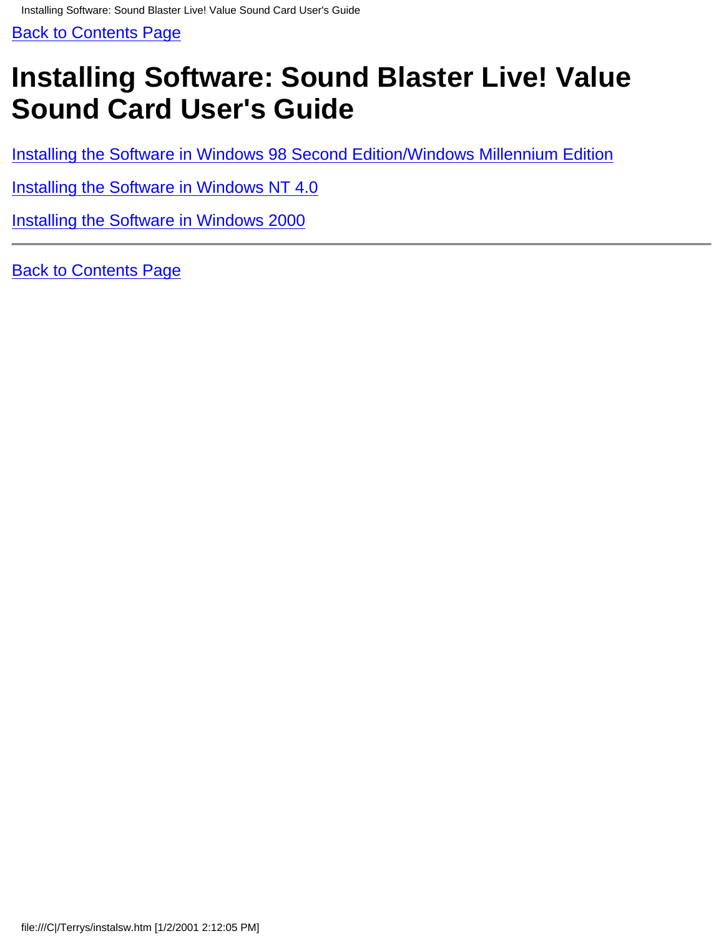# <span id="page-15-0"></span>**Installing Software: Sound Blaster Live! Value Sound Card User's Guide**

[Installing the Software in Windows 98 Second Edition/Windows Millennium Edition](#page-64-0)

[Installing the Software in Windows NT 4.0](#page-65-0)

[Installing the Software in Windows 2000](#page-66-0)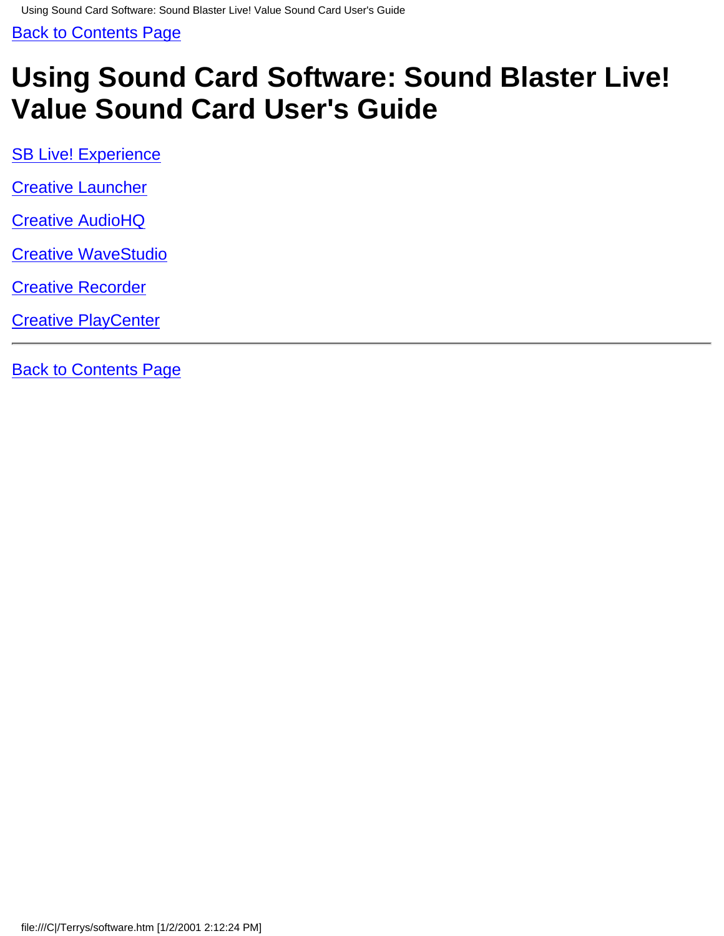# <span id="page-16-0"></span>**Using Sound Card Software: Sound Blaster Live! Value Sound Card User's Guide**

**[SB Live! Experience](#page-60-0)** 

[Creative Launcher](#page-48-0)

[Creative AudioHQ](#page-17-0)

[Creative WaveStudio](#page-61-0)

[Creative Recorder](#page-62-0)

**[Creative PlayCenter](#page-63-0)**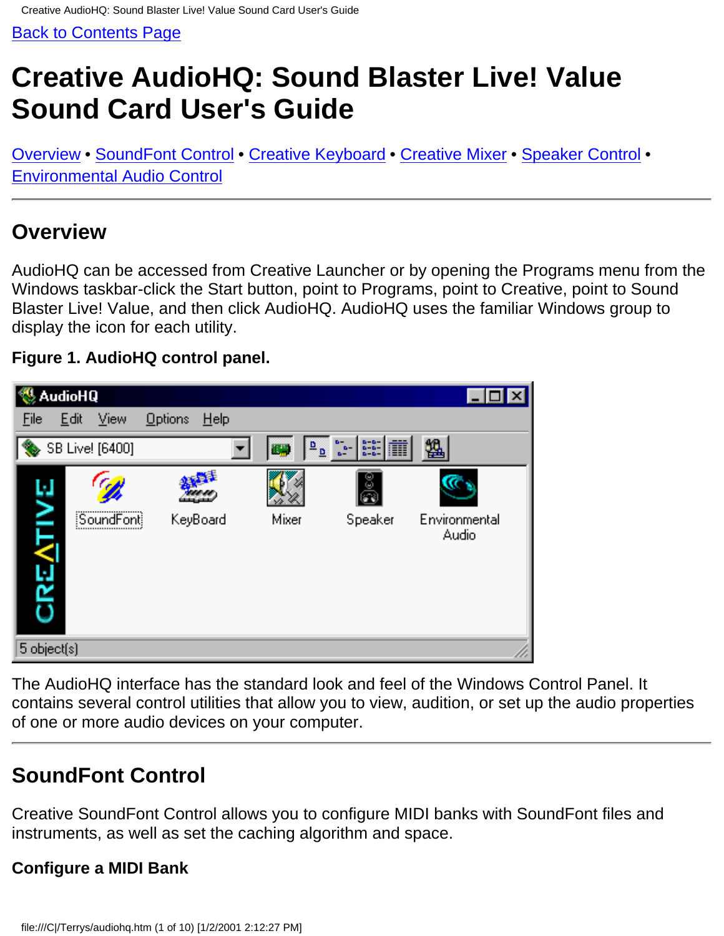# <span id="page-17-0"></span>**Creative AudioHQ: Sound Blaster Live! Value Sound Card User's Guide**

Overview • SoundFont Control • Creative Keyboard • Creative Mixer • [Speaker Control](#page-23-0) • Environmental Audio Control

### **Overview**

AudioHQ can be accessed from Creative Launcher or by opening the Programs menu from the Windows taskbar-click the Start button, point to Programs, point to Creative, point to Sound Blaster Live! Value, and then click AudioHQ. AudioHQ uses the familiar Windows group to display the icon for each utility.

#### **Figure 1. AudioHQ control panel.**



The AudioHQ interface has the standard look and feel of the Windows Control Panel. It contains several control utilities that allow you to view, audition, or set up the audio properties of one or more audio devices on your computer.

## **SoundFont Control**

Creative SoundFont Control allows you to configure MIDI banks with SoundFont files and instruments, as well as set the caching algorithm and space.

#### **Configure a MIDI Bank**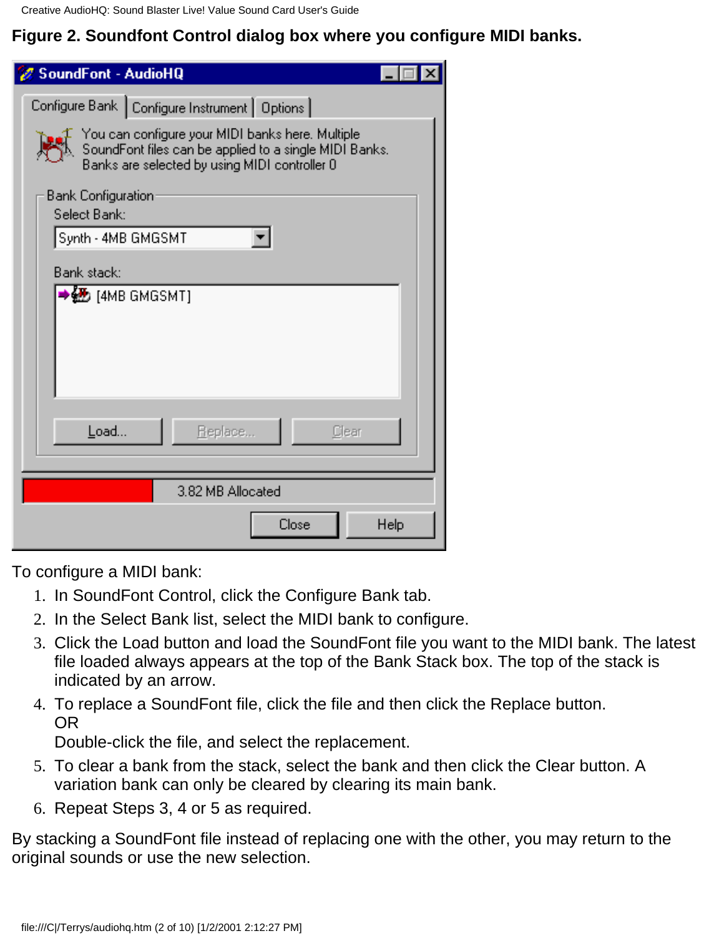Creative AudioHQ: Sound Blaster Live! Value Sound Card User's Guide

### **Figure 2. Soundfont Control dialog box where you configure MIDI banks.**

| SoundFont - AudioHQ                                                                                                                                         |                                                 |  |  |  |  |
|-------------------------------------------------------------------------------------------------------------------------------------------------------------|-------------------------------------------------|--|--|--|--|
|                                                                                                                                                             | Configure Bank   Configure Instrument   Options |  |  |  |  |
| You can configure your MIDI banks here. Multiple<br>SoundFont files can be applied to a single MIDI Banks.<br>Banks are selected by using MIDI controller 0 |                                                 |  |  |  |  |
| <b>Bank Configuration</b><br>Select Bank:                                                                                                                   |                                                 |  |  |  |  |
| Synth - 4MB GMGSMT                                                                                                                                          |                                                 |  |  |  |  |
| Bank stack:                                                                                                                                                 |                                                 |  |  |  |  |
|                                                                                                                                                             | LAMB GMGSMT]                                    |  |  |  |  |
| Load                                                                                                                                                        | Replace<br>Clear                                |  |  |  |  |
|                                                                                                                                                             | 3.82 MB Allocated                               |  |  |  |  |
|                                                                                                                                                             | Close<br>Help                                   |  |  |  |  |

To configure a MIDI bank:

- 1. In SoundFont Control, click the Configure Bank tab.
- 2. In the Select Bank list, select the MIDI bank to configure.
- Click the Load button and load the SoundFont file you want to the MIDI bank. The latest 3. file loaded always appears at the top of the Bank Stack box. The top of the stack is indicated by an arrow.
- To replace a SoundFont file, click the file and then click the Replace button. 4. OR

Double-click the file, and select the replacement.

- To clear a bank from the stack, select the bank and then click the Clear button. A 5. variation bank can only be cleared by clearing its main bank.
- 6. Repeat Steps 3, 4 or 5 as required.

By stacking a SoundFont file instead of replacing one with the other, you may return to the original sounds or use the new selection.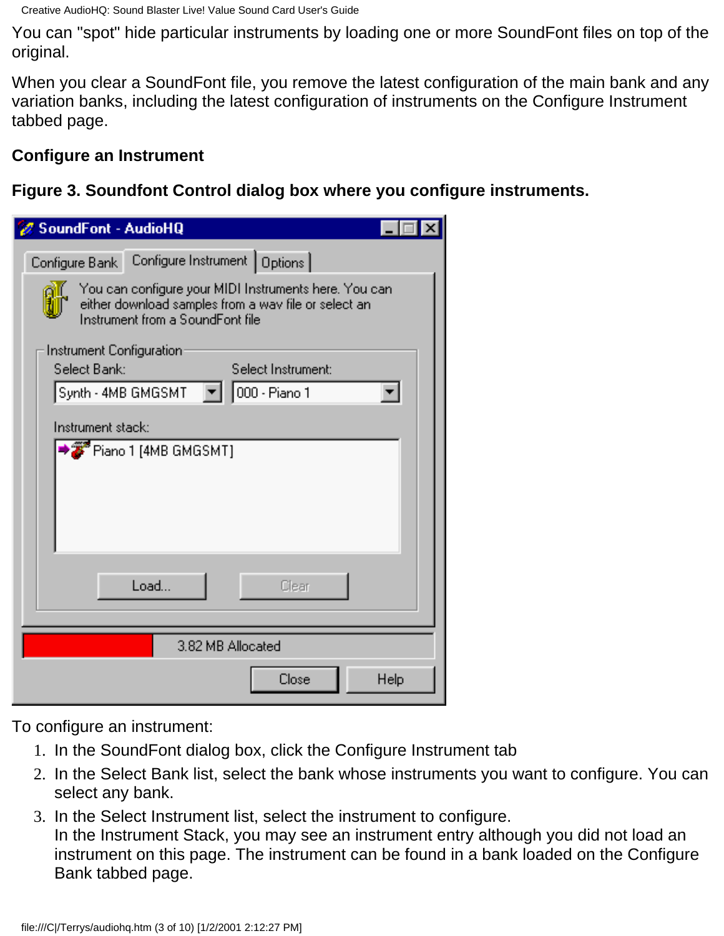Creative AudioHQ: Sound Blaster Live! Value Sound Card User's Guide

You can "spot" hide particular instruments by loading one or more SoundFont files on top of the original.

When you clear a SoundFont file, you remove the latest configuration of the main bank and any variation banks, including the latest configuration of instruments on the Configure Instrument tabbed page.

#### **Configure an Instrument**

**Figure 3. Soundfont Control dialog box where you configure instruments.**

| SoundFont - AudioHQ                                                                                                                               |  |  |  |  |  |
|---------------------------------------------------------------------------------------------------------------------------------------------------|--|--|--|--|--|
| Configure Bank Configure Instrument   Options                                                                                                     |  |  |  |  |  |
| You can configure your MIDI Instruments here. You can<br>either download samples from a way file or select an<br>Instrument from a SoundFont file |  |  |  |  |  |
| Instrument Configuration<br>Select Bank:<br>Select Instrument:<br>  000 - Piano 1<br>Synth - 4MB GMGSMT                                           |  |  |  |  |  |
| Instrument stack:                                                                                                                                 |  |  |  |  |  |
| Piano 1 [4MB GMGSMT]                                                                                                                              |  |  |  |  |  |
| Load<br>Clear                                                                                                                                     |  |  |  |  |  |
| 3.82 MB Allocated                                                                                                                                 |  |  |  |  |  |
| Close<br>Help                                                                                                                                     |  |  |  |  |  |

To configure an instrument:

- 1. In the SoundFont dialog box, click the Configure Instrument tab
- 2. In the Select Bank list, select the bank whose instruments you want to configure. You can select any bank.
- 3. In the Select Instrument list, select the instrument to configure. In the Instrument Stack, you may see an instrument entry although you did not load an instrument on this page. The instrument can be found in a bank loaded on the Configure Bank tabbed page.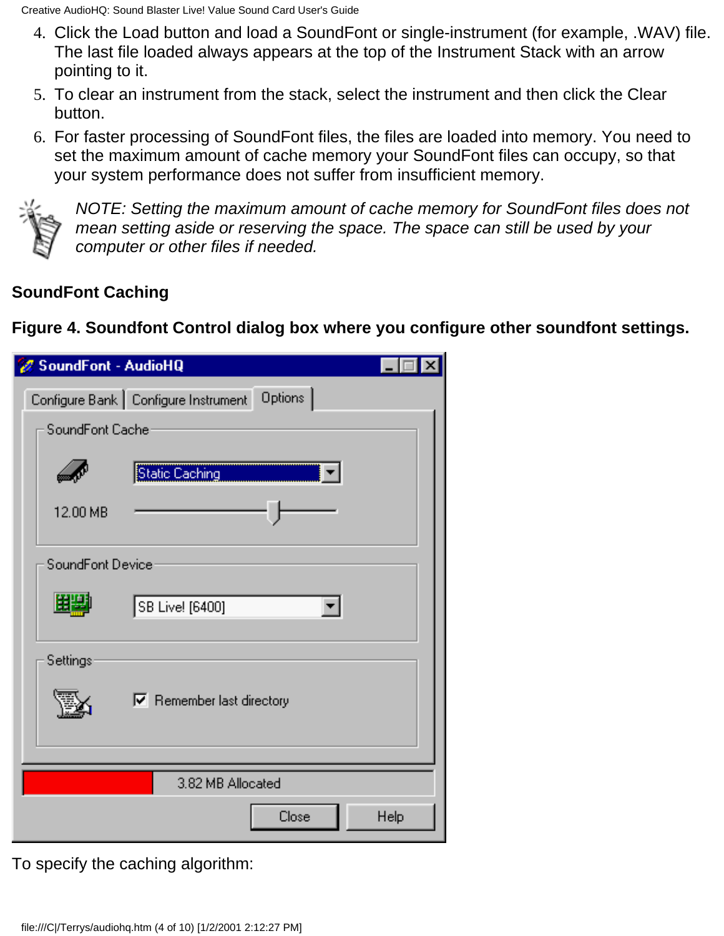- Click the Load button and load a SoundFont or single-instrument (for example, .WAV) file. 4. The last file loaded always appears at the top of the Instrument Stack with an arrow pointing to it.
- 5. To clear an instrument from the stack, select the instrument and then click the Clear button.
- For faster processing of SoundFont files, the files are loaded into memory. You need to 6. set the maximum amount of cache memory your SoundFont files can occupy, so that your system performance does not suffer from insufficient memory.



*NOTE: Setting the maximum amount of cache memory for SoundFont files does not mean setting aside or reserving the space. The space can still be used by your computer or other files if needed.*

### **SoundFont Caching**

**Figure 4. Soundfont Control dialog box where you configure other soundfont settings.**

| SoundFont - AudioHQ |                                                 |      |
|---------------------|-------------------------------------------------|------|
|                     | Configure Bank   Configure Instrument   Options |      |
| SoundFont Cache     |                                                 |      |
|                     | Static Caching                                  |      |
| 12.00 MB            |                                                 |      |
| SoundFont Device    |                                                 |      |
|                     | SB Live! [6400]                                 |      |
| Settings            |                                                 |      |
|                     | $\nabla$ Remember last directory                |      |
|                     |                                                 |      |
|                     | 3.82 MB Allocated                               |      |
|                     | Close                                           | Help |

To specify the caching algorithm: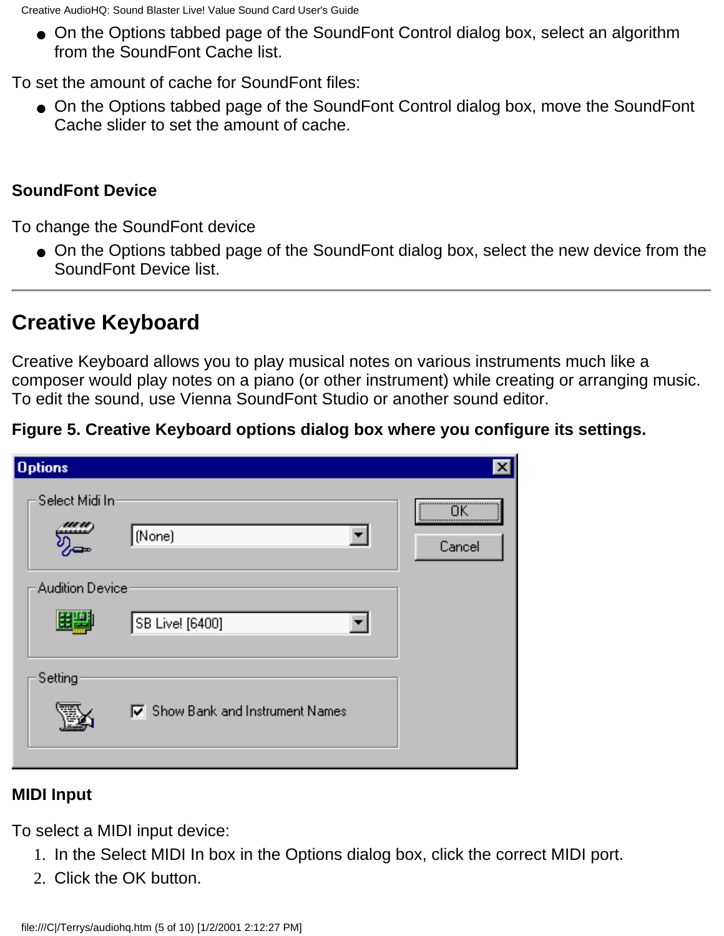● On the Options tabbed page of the SoundFont Control dialog box, select an algorithm from the SoundFont Cache list.

To set the amount of cache for SoundFont files:

● On the Options tabbed page of the SoundFont Control dialog box, move the SoundFont Cache slider to set the amount of cache.

#### **SoundFont Device**

To change the SoundFont device

● On the Options tabbed page of the SoundFont dialog box, select the new device from the SoundFont Device list.

## **Creative Keyboard**

Creative Keyboard allows you to play musical notes on various instruments much like a composer would play notes on a piano (or other instrument) while creating or arranging music. To edit the sound, use Vienna SoundFont Studio or another sound editor.

#### **Figure 5. Creative Keyboard options dialog box where you configure its settings.**

| <b>Options</b>         |                                         | ×          |
|------------------------|-----------------------------------------|------------|
| Select Midi In:        | (None)                                  | <br>Cancel |
| <b>Audition Device</b> |                                         |            |
|                        | SB Live! [6400]                         |            |
| Setting                |                                         |            |
|                        | <b>▽</b> Show Bank and Instrument Names |            |
|                        |                                         |            |

#### **MIDI Input**

To select a MIDI input device:

- 1. In the Select MIDI In box in the Options dialog box, click the correct MIDI port.
- 2. Click the OK button.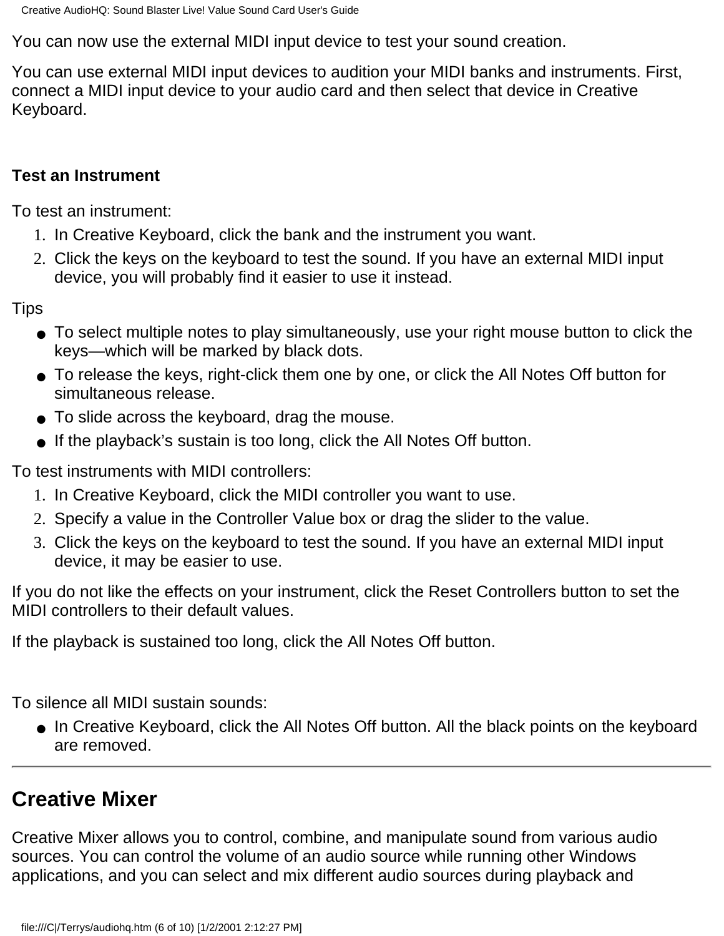You can now use the external MIDI input device to test your sound creation.

You can use external MIDI input devices to audition your MIDI banks and instruments. First, connect a MIDI input device to your audio card and then select that device in Creative Keyboard.

#### **Test an Instrument**

To test an instrument:

- 1. In Creative Keyboard, click the bank and the instrument you want.
- Click the keys on the keyboard to test the sound. If you have an external MIDI input 2. device, you will probably find it easier to use it instead.

Tips

- To select multiple notes to play simultaneously, use your right mouse button to click the keys—which will be marked by black dots.
- To release the keys, right-click them one by one, or click the All Notes Off button for simultaneous release.
- To slide across the keyboard, drag the mouse.
- If the playback's sustain is too long, click the All Notes Off button.

To test instruments with MIDI controllers:

- 1. In Creative Keyboard, click the MIDI controller you want to use.
- 2. Specify a value in the Controller Value box or drag the slider to the value.
- Click the keys on the keyboard to test the sound. If you have an external MIDI input 3. device, it may be easier to use.

If you do not like the effects on your instrument, click the Reset Controllers button to set the MIDI controllers to their default values.

If the playback is sustained too long, click the All Notes Off button.

To silence all MIDI sustain sounds:

● In Creative Keyboard, click the All Notes Off button. All the black points on the keyboard are removed.

## **Creative Mixer**

Creative Mixer allows you to control, combine, and manipulate sound from various audio sources. You can control the volume of an audio source while running other Windows applications, and you can select and mix different audio sources during playback and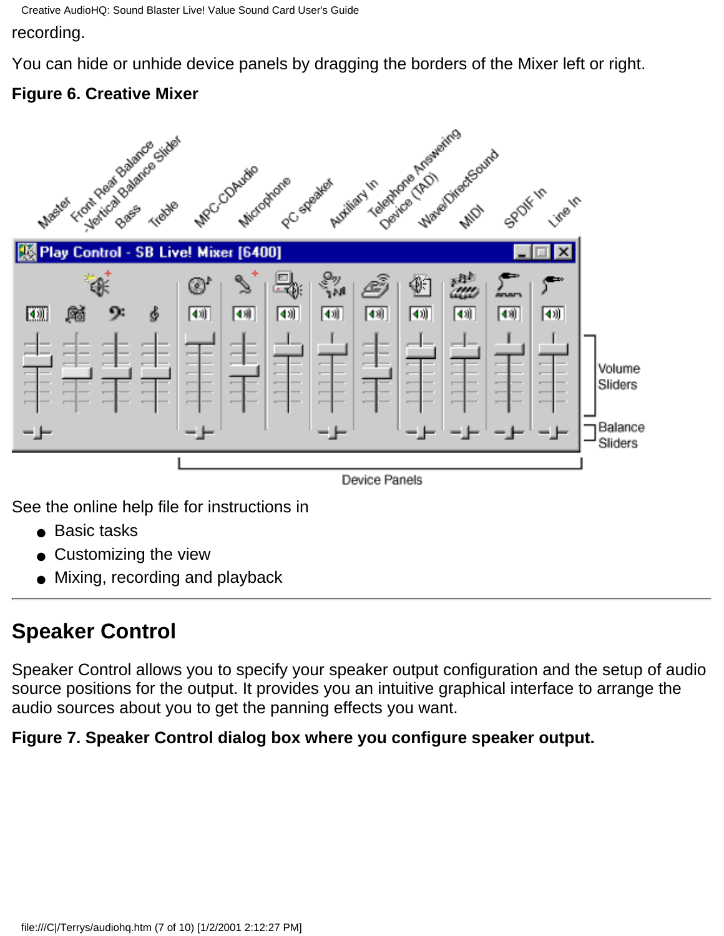Creative AudioHQ: Sound Blaster Live! Value Sound Card User's Guide

recording.

You can hide or unhide device panels by dragging the borders of the Mixer left or right.

### **Figure 6. Creative Mixer**



Device Panels

See the online help file for instructions in

- Basic tasks
- Customizing the view
- Mixing, recording and playback

## <span id="page-23-0"></span>**Speaker Control**

Speaker Control allows you to specify your speaker output configuration and the setup of audio source positions for the output. It provides you an intuitive graphical interface to arrange the audio sources about you to get the panning effects you want.

**Figure 7. Speaker Control dialog box where you configure speaker output.**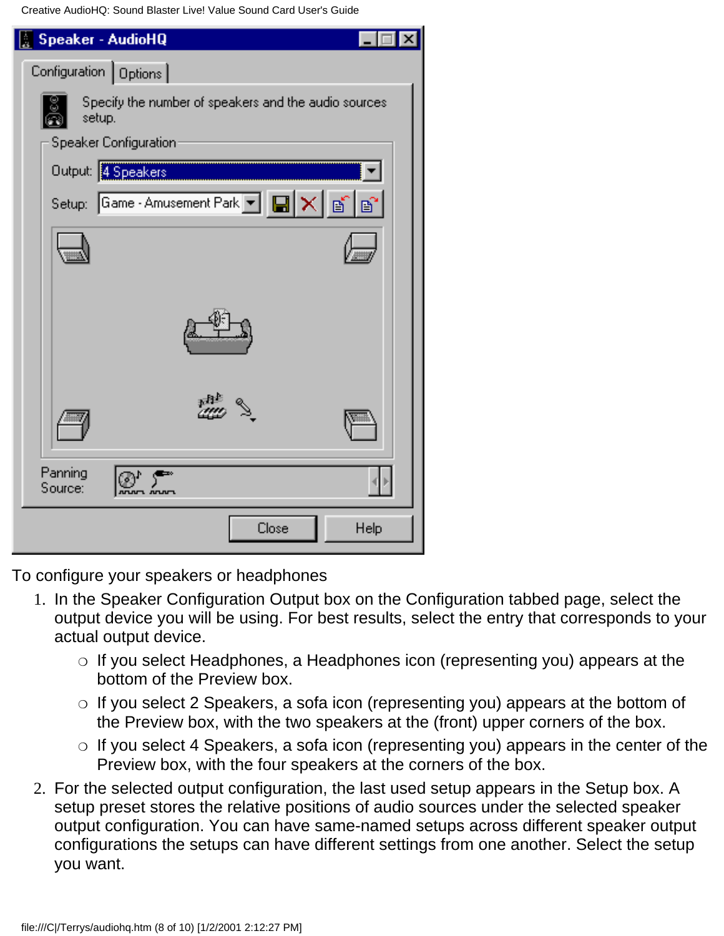Creative AudioHQ: Sound Blaster Live! Value Sound Card User's Guide

| Speaker - AudioHQ                                                                                              |
|----------------------------------------------------------------------------------------------------------------|
| Configuration   Options                                                                                        |
| Specify the number of speakers and the audio sources<br>setup.                                                 |
| Speaker Configuration:                                                                                         |
| Output: 4 Speakers                                                                                             |
| Setup: Game - Amusement Park $\boxed{\blacksquare}$ $\boxed{\times}$ $\boxed{\lozenge}$ $\boxed{\mathfrak{D}}$ |
|                                                                                                                |
|                                                                                                                |
|                                                                                                                |
| Panning<br>Source:                                                                                             |
| Close<br>Help                                                                                                  |

To configure your speakers or headphones

- 1. In the Speaker Configuration Output box on the Configuration tabbed page, select the output device you will be using. For best results, select the entry that corresponds to your actual output device.
	- $\circ$  If you select Headphones, a Headphones icon (representing you) appears at the bottom of the Preview box.
	- $\circ$  If you select 2 Speakers, a sofa icon (representing you) appears at the bottom of the Preview box, with the two speakers at the (front) upper corners of the box.
	- $\circ$  If you select 4 Speakers, a sofa icon (representing you) appears in the center of the Preview box, with the four speakers at the corners of the box.
- For the selected output configuration, the last used setup appears in the Setup box. A 2. setup preset stores the relative positions of audio sources under the selected speaker output configuration. You can have same-named setups across different speaker output configurations the setups can have different settings from one another. Select the setup you want.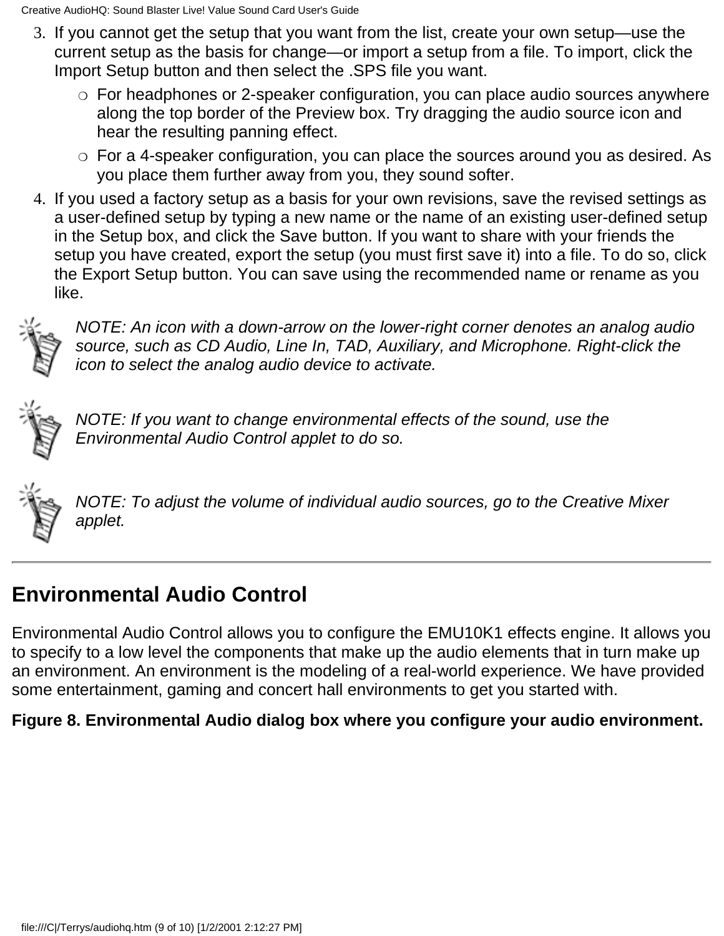- 3. If you cannot get the setup that you want from the list, create your own setup—use the current setup as the basis for change—or import a setup from a file. To import, click the Import Setup button and then select the .SPS file you want.
	- $\circ~$  For headphones or 2-speaker configuration, you can place audio sources anywhere along the top border of the Preview box. Try dragging the audio source icon and hear the resulting panning effect.
	- $\circ~$  For a 4-speaker configuration, you can place the sources around you as desired. As you place them further away from you, they sound softer.
- 4. If you used a factory setup as a basis for your own revisions, save the revised settings as a user-defined setup by typing a new name or the name of an existing user-defined setup in the Setup box, and click the Save button. If you want to share with your friends the setup you have created, export the setup (you must first save it) into a file. To do so, click the Export Setup button. You can save using the recommended name or rename as you like.



*NOTE: An icon with a down-arrow on the lower-right corner denotes an analog audio source, such as CD Audio, Line In, TAD, Auxiliary, and Microphone. Right-click the icon to select the analog audio device to activate.*



*NOTE: If you want to change environmental effects of the sound, use the Environmental Audio Control applet to do so.*



*NOTE: To adjust the volume of individual audio sources, go to the Creative Mixer applet.*

## **Environmental Audio Control**

Environmental Audio Control allows you to configure the EMU10K1 effects engine. It allows you to specify to a low level the components that make up the audio elements that in turn make up an environment. An environment is the modeling of a real-world experience. We have provided some entertainment, gaming and concert hall environments to get you started with.

#### **Figure 8. Environmental Audio dialog box where you configure your audio environment.**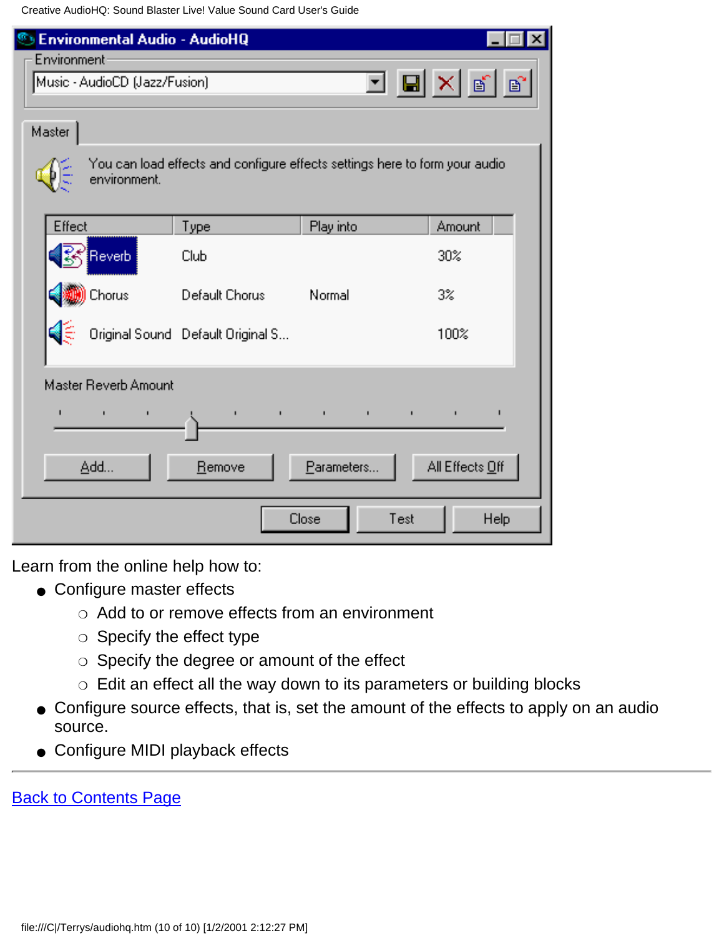Creative AudioHQ: Sound Blaster Live! Value Sound Card User's Guide

| <b>Environmental Audio - AudioHQ</b>                      |                                   |                                                                             |                 |
|-----------------------------------------------------------|-----------------------------------|-----------------------------------------------------------------------------|-----------------|
| Environment <sup>.</sup><br>Music - AudioCD (Jazz/Fusion) |                                   |                                                                             | J Q X 6 6       |
| Master                                                    |                                   |                                                                             |                 |
| environment.                                              |                                   | You can load effects and configure effects settings here to form your audio |                 |
| Effect                                                    | Type                              | Play into                                                                   | Amount          |
| <b>Reverb</b>                                             | Club                              |                                                                             | 30%             |
| Chorus                                                    | Default Chorus                    | Normal                                                                      | $3\%$           |
|                                                           | Original Sound Default Original S |                                                                             | 100%            |
| Master Reverb Amount                                      |                                   |                                                                             |                 |
| п<br>$\blacksquare$<br>ı                                  | $\blacksquare$                    | the contract of the contract of<br>$\mathbf{I}$                             | $\blacksquare$  |
| Add                                                       | Remove                            | Parameters                                                                  | All Effects Off |
|                                                           |                                   | Close<br>Test                                                               | Help            |

Learn from the online help how to:

- Configure master effects
	- ❍ Add to or remove effects from an environment
	- ❍ Specify the effect type
	- ❍ Specify the degree or amount of the effect
	- ❍ Edit an effect all the way down to its parameters or building blocks
- Configure source effects, that is, set the amount of the effects to apply on an audio source.
- Configure MIDI playback effects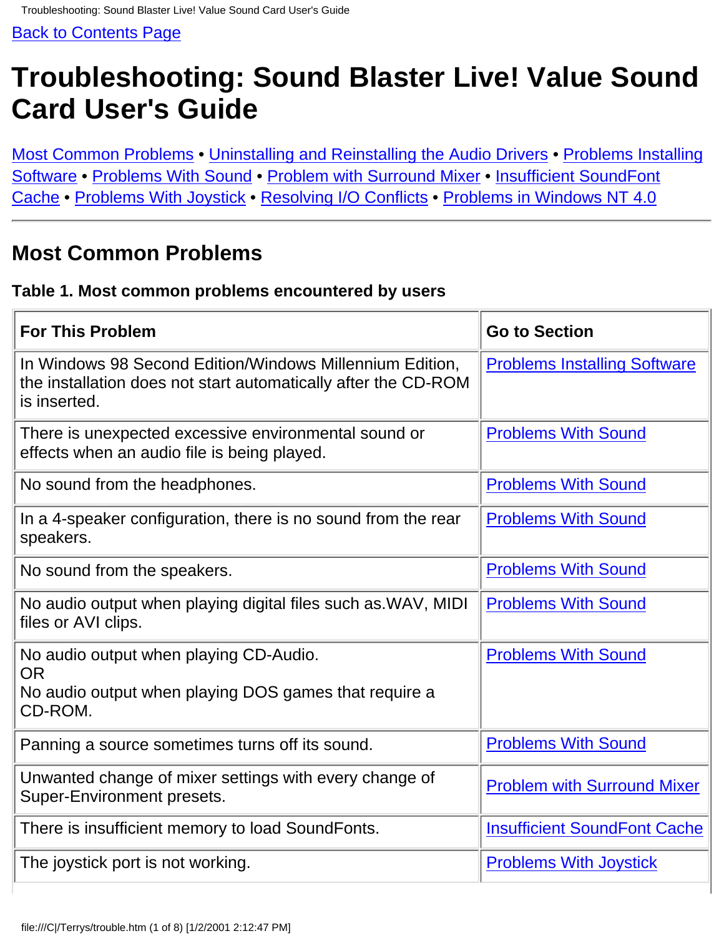# <span id="page-27-0"></span>**Troubleshooting: Sound Blaster Live! Value Sound Card User's Guide**

Most Common Problems • Uninstalling and Reinstalling the Audio Drivers • Problems Installing Software • Problems With Sound • Problem with Surround Mixer • Insufficient SoundFont Cache • Problems With Joystick • Resolving I/O Conflicts • Problems in Windows NT 4.0

### **Most Common Problems**

#### **Table 1. Most common problems encountered by users**

| <b>For This Problem</b>                                                                                                                    | <b>Go to Section</b>                |
|--------------------------------------------------------------------------------------------------------------------------------------------|-------------------------------------|
| In Windows 98 Second Edition/Windows Millennium Edition,<br>the installation does not start automatically after the CD-ROM<br>is inserted. | <b>Problems Installing Software</b> |
| There is unexpected excessive environmental sound or<br>effects when an audio file is being played.                                        | <b>Problems With Sound</b>          |
| No sound from the headphones.                                                                                                              | <b>Problems With Sound</b>          |
| In a 4-speaker configuration, there is no sound from the rear<br>speakers.                                                                 | <b>Problems With Sound</b>          |
| No sound from the speakers.                                                                                                                | <b>Problems With Sound</b>          |
| No audio output when playing digital files such as WAV, MIDI<br>files or AVI clips.                                                        | <b>Problems With Sound</b>          |
| No audio output when playing CD-Audio.<br><b>OR</b><br>No audio output when playing DOS games that require a<br>CD-ROM.                    | <b>Problems With Sound</b>          |
| Panning a source sometimes turns off its sound.                                                                                            | <b>Problems With Sound</b>          |
| Unwanted change of mixer settings with every change of<br>Super-Environment presets.                                                       | <b>Problem with Surround Mixer</b>  |
| There is insufficient memory to load SoundFonts.                                                                                           | <b>Insufficient SoundFont Cache</b> |
| The joystick port is not working.                                                                                                          | <b>Problems With Joystick</b>       |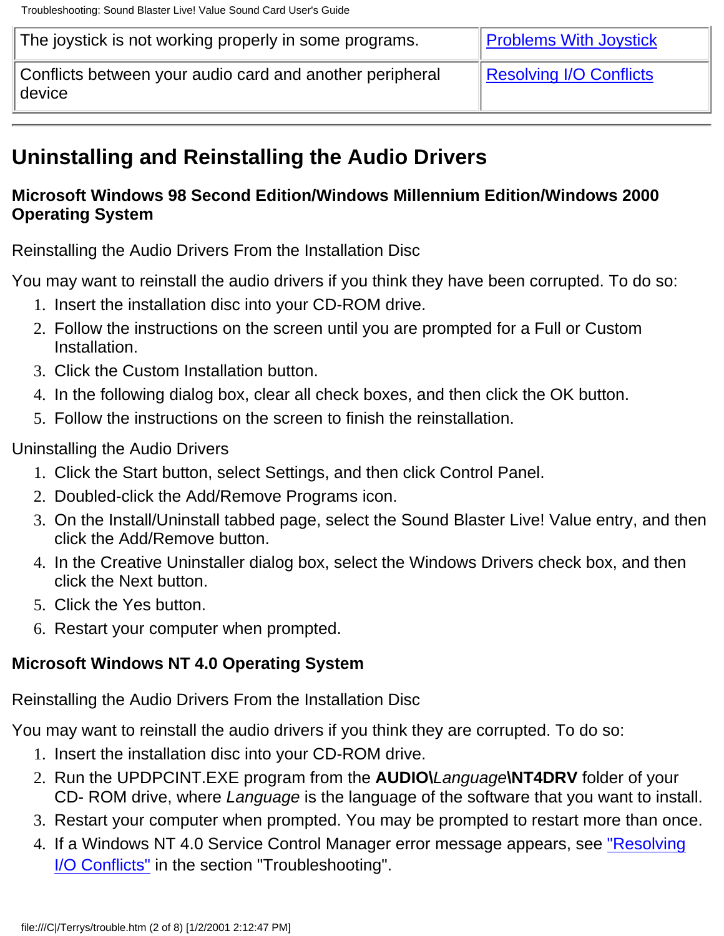| The joystick is not working properly in some programs.             | <b>Problems With Joystick</b> |
|--------------------------------------------------------------------|-------------------------------|
| Conflicts between your audio card and another peripheral<br>device | Resolving I/O Conflicts       |

## **Uninstalling and Reinstalling the Audio Drivers**

#### **Microsoft Windows 98 Second Edition/Windows Millennium Edition/Windows 2000 Operating System**

Reinstalling the Audio Drivers From the Installation Disc

You may want to reinstall the audio drivers if you think they have been corrupted. To do so:

- 1. Insert the installation disc into your CD-ROM drive.
- Follow the instructions on the screen until you are prompted for a Full or Custom 2. Installation.
- 3. Click the Custom Installation button.
- 4. In the following dialog box, clear all check boxes, and then click the OK button.
- 5. Follow the instructions on the screen to finish the reinstallation.
- Uninstalling the Audio Drivers
	- 1. Click the Start button, select Settings, and then click Control Panel.
	- 2. Doubled-click the Add/Remove Programs icon.
	- On the Install/Uninstall tabbed page, select the Sound Blaster Live! Value entry, and then 3. click the Add/Remove button.
	- 4. In the Creative Uninstaller dialog box, select the Windows Drivers check box, and then click the Next button.
	- 5. Click the Yes button.
	- 6. Restart your computer when prompted.

#### **Microsoft Windows NT 4.0 Operating System**

Reinstalling the Audio Drivers From the Installation Disc

You may want to reinstall the audio drivers if you think they are corrupted. To do so:

- 1. Insert the installation disc into your CD-ROM drive.
- 2. Run the UPDPCINT.EXE program from the AUDIO\*Language*\NT4DRV folder of your CD- ROM drive, where *Language* is the language of the software that you want to install.
- 3. Restart your computer when prompted. You may be prompted to restart more than once.
- 4. If a Windows NT 4.0 Service Control Manager error message appears, see <u>"Resolving</u> I/O Conflicts" in the section "Troubleshooting".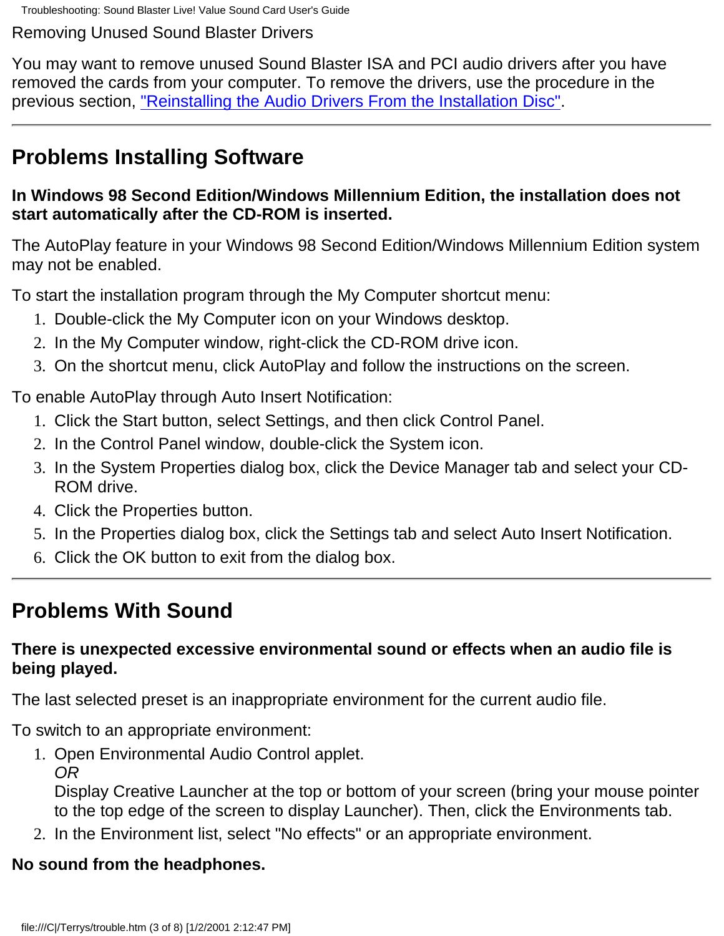Troubleshooting: Sound Blaster Live! Value Sound Card User's Guide

Removing Unused Sound Blaster Drivers

You may want to remove unused Sound Blaster ISA and PCI audio drivers after you have removed the cards from your computer. To remove the drivers, use the procedure in the previous section, "Reinstalling the Audio Drivers From the Installation Disc".

## **Problems Installing Software**

#### **In Windows 98 Second Edition/Windows Millennium Edition, the installation does not start automatically after the CD-ROM is inserted.**

The AutoPlay feature in your Windows 98 Second Edition/Windows Millennium Edition system may not be enabled.

To start the installation program through the My Computer shortcut menu:

- 1. Double-click the My Computer icon on your Windows desktop.
- 2. In the My Computer window, right-click the CD-ROM drive icon.
- 3. On the shortcut menu, click AutoPlay and follow the instructions on the screen.

To enable AutoPlay through Auto Insert Notification:

- 1. Click the Start button, select Settings, and then click Control Panel.
- 2. In the Control Panel window, double-click the System icon.
- 3. In the System Properties dialog box, click the Device Manager tab and select your CD-ROM drive.
- 4. Click the Properties button.
- 5. In the Properties dialog box, click the Settings tab and select Auto Insert Notification.
- 6. Click the OK button to exit from the dialog box.

## **Problems With Sound**

#### **There is unexpected excessive environmental sound or effects when an audio file is being played.**

The last selected preset is an inappropriate environment for the current audio file.

To switch to an appropriate environment:

1. Open Environmental Audio Control applet. *OR*

Display Creative Launcher at the top or bottom of your screen (bring your mouse pointer to the top edge of the screen to display Launcher). Then, click the Environments tab.

2. In the Environment list, select "No effects" or an appropriate environment.

### **No sound from the headphones.**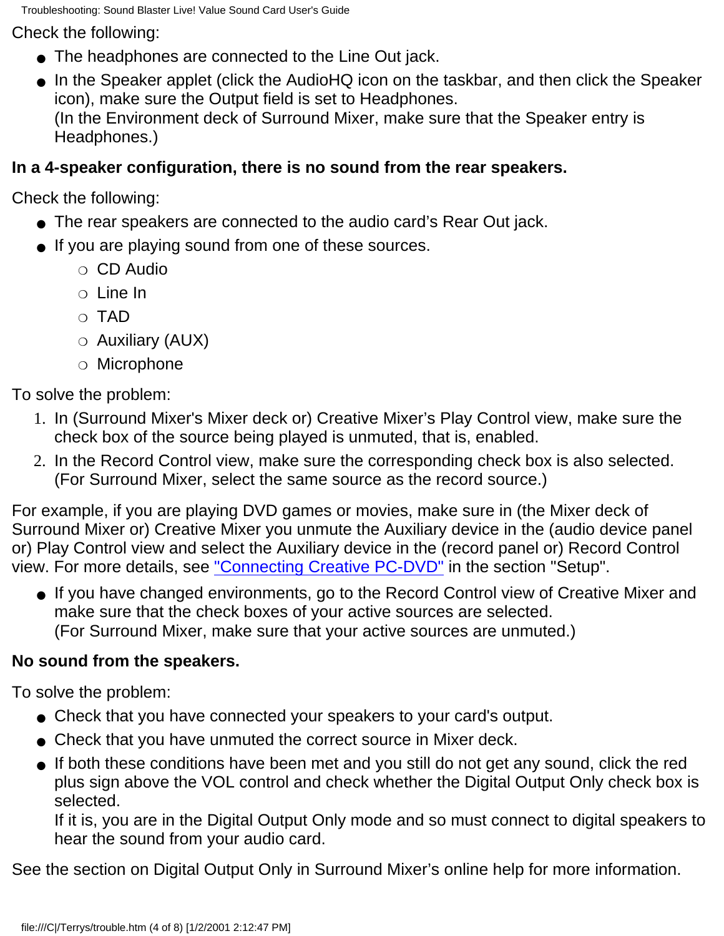Troubleshooting: Sound Blaster Live! Value Sound Card User's Guide

Check the following:

- The headphones are connected to the Line Out jack.
- In the Speaker applet (click the AudioHQ icon on the taskbar, and then click the Speaker icon), make sure the Output field is set to Headphones. (In the Environment deck of Surround Mixer, make sure that the Speaker entry is Headphones.)

### **In a 4-speaker configuration, there is no sound from the rear speakers.**

Check the following:

- The rear speakers are connected to the audio card's Rear Out jack.
- If you are playing sound from one of these sources.
	- ❍ CD Audio
	- ❍ Line In
	- ❍ TAD
	- ❍ Auxiliary (AUX)
	- ❍ Microphone

To solve the problem:

- 1. In (Surround Mixer's Mixer deck or) Creative Mixer's Play Control view, make sure the check box of the source being played is unmuted, that is, enabled.
- 2. In the Record Control view, make sure the corresponding check box is also selected. (For Surround Mixer, select the same source as the record source.)

For example, if you are playing DVD games or movies, make sure in (the Mixer deck of Surround Mixer or) Creative Mixer you unmute the Auxiliary device in the (audio device panel or) Play Control view and select the Auxiliary device in the (record panel or) Record Control view. For more details, see ["Connecting Creative PC-DVD"](#page-39-0) in the section "Setup".

● If you have changed environments, go to the Record Control view of Creative Mixer and make sure that the check boxes of your active sources are selected. (For Surround Mixer, make sure that your active sources are unmuted.)

### **No sound from the speakers.**

To solve the problem:

- Check that you have connected your speakers to your card's output.
- Check that you have unmuted the correct source in Mixer deck.
- If both these conditions have been met and you still do not get any sound, click the red plus sign above the VOL control and check whether the Digital Output Only check box is selected.

If it is, you are in the Digital Output Only mode and so must connect to digital speakers to hear the sound from your audio card.

See the section on Digital Output Only in Surround Mixer's online help for more information.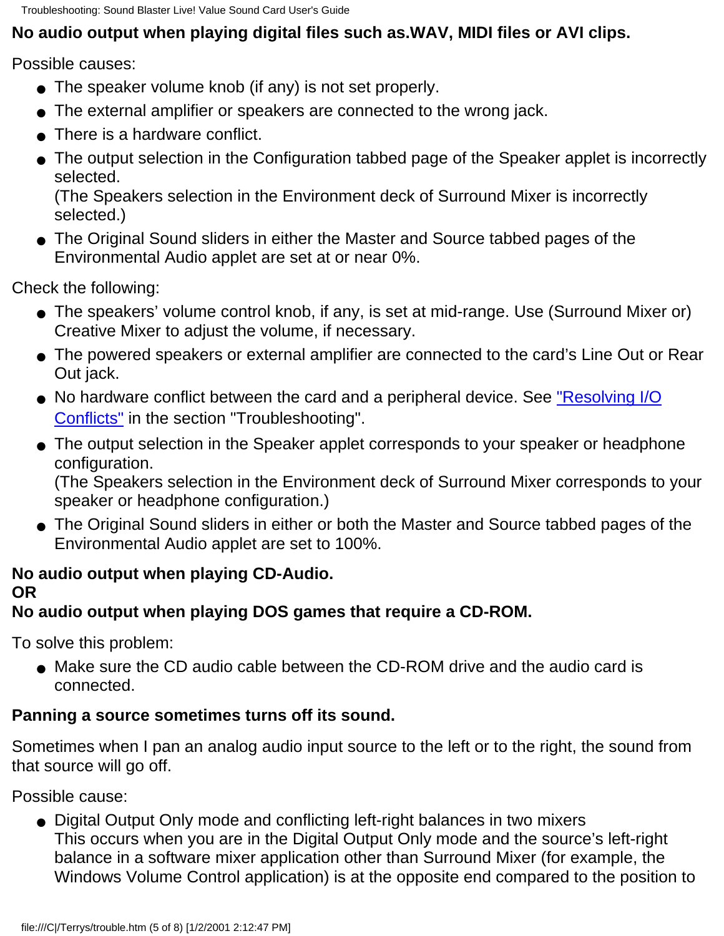Troubleshooting: Sound Blaster Live! Value Sound Card User's Guide

### **No audio output when playing digital files such as.WAV, MIDI files or AVI clips.**

Possible causes:

- The speaker volume knob (if any) is not set properly.
- The external amplifier or speakers are connected to the wrong jack.
- There is a hardware conflict.
- The output selection in the Configuration tabbed page of the Speaker applet is incorrectly selected.

(The Speakers selection in the Environment deck of Surround Mixer is incorrectly selected.)

● The Original Sound sliders in either the Master and Source tabbed pages of the Environmental Audio applet are set at or near 0%.

Check the following:

- The speakers' volume control knob, if any, is set at mid-range. Use (Surround Mixer or) Creative Mixer to adjust the volume, if necessary.
- The powered speakers or external amplifier are connected to the card's Line Out or Rear Out jack.
- No hardware conflict between the card and a peripheral device. See <u>"Resolving I/O</u> Conflicts" in the section "Troubleshooting".
- The output selection in the Speaker applet corresponds to your speaker or headphone configuration.

(The Speakers selection in the Environment deck of Surround Mixer corresponds to your speaker or headphone configuration.)

● The Original Sound sliders in either or both the Master and Source tabbed pages of the Environmental Audio applet are set to 100%.

#### **No audio output when playing CD-Audio. OR**

### **No audio output when playing DOS games that require a CD-ROM.**

To solve this problem:

● Make sure the CD audio cable between the CD-ROM drive and the audio card is connected.

### **Panning a source sometimes turns off its sound.**

Sometimes when I pan an analog audio input source to the left or to the right, the sound from that source will go off.

Possible cause:

● Digital Output Only mode and conflicting left-right balances in two mixers This occurs when you are in the Digital Output Only mode and the source's left-right balance in a software mixer application other than Surround Mixer (for example, the Windows Volume Control application) is at the opposite end compared to the position to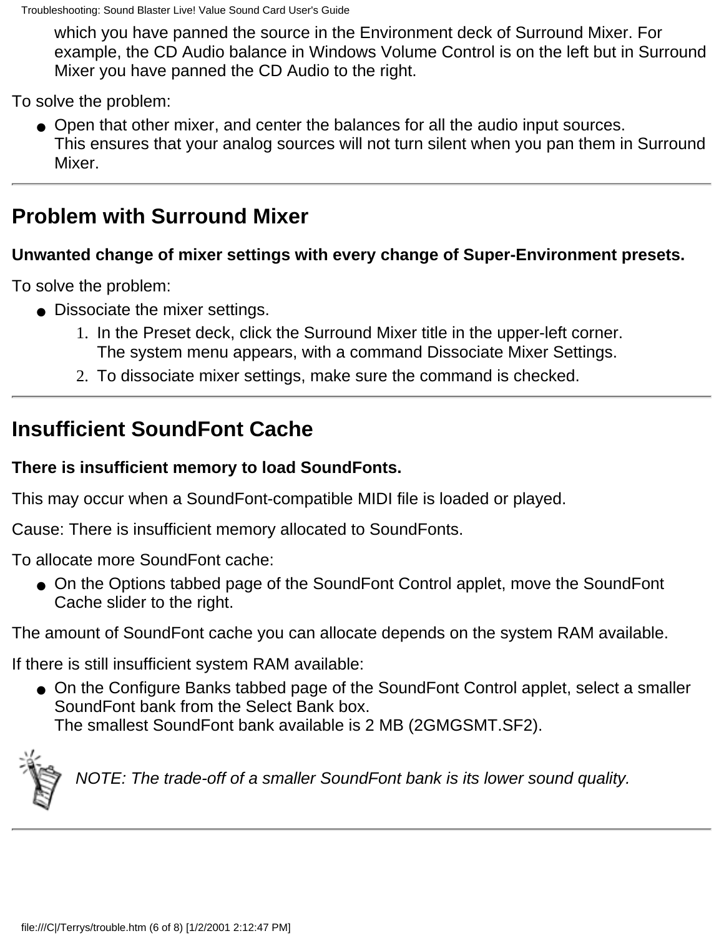which you have panned the source in the Environment deck of Surround Mixer. For example, the CD Audio balance in Windows Volume Control is on the left but in Surround Mixer you have panned the CD Audio to the right.

To solve the problem:

Open that other mixer, and center the balances for all the audio input sources. ● This ensures that your analog sources will not turn silent when you pan them in Surround Mixer.

### **Problem with Surround Mixer**

#### **Unwanted change of mixer settings with every change of Super-Environment presets.**

To solve the problem:

- Dissociate the mixer settings.
	- 1. In the Preset deck, click the Surround Mixer title in the upper-left corner. The system menu appears, with a command Dissociate Mixer Settings.
	- 2. To dissociate mixer settings, make sure the command is checked.

## **Insufficient SoundFont Cache**

#### **There is insufficient memory to load SoundFonts.**

This may occur when a SoundFont-compatible MIDI file is loaded or played.

Cause: There is insufficient memory allocated to SoundFonts.

To allocate more SoundFont cache:

● On the Options tabbed page of the SoundFont Control applet, move the SoundFont Cache slider to the right.

The amount of SoundFont cache you can allocate depends on the system RAM available.

If there is still insufficient system RAM available:

● On the Configure Banks tabbed page of the SoundFont Control applet, select a smaller SoundFont bank from the Select Bank box. The smallest SoundFont bank available is 2 MB (2GMGSMT.SF2).



*NOTE: The trade-off of a smaller SoundFont bank is its lower sound quality.*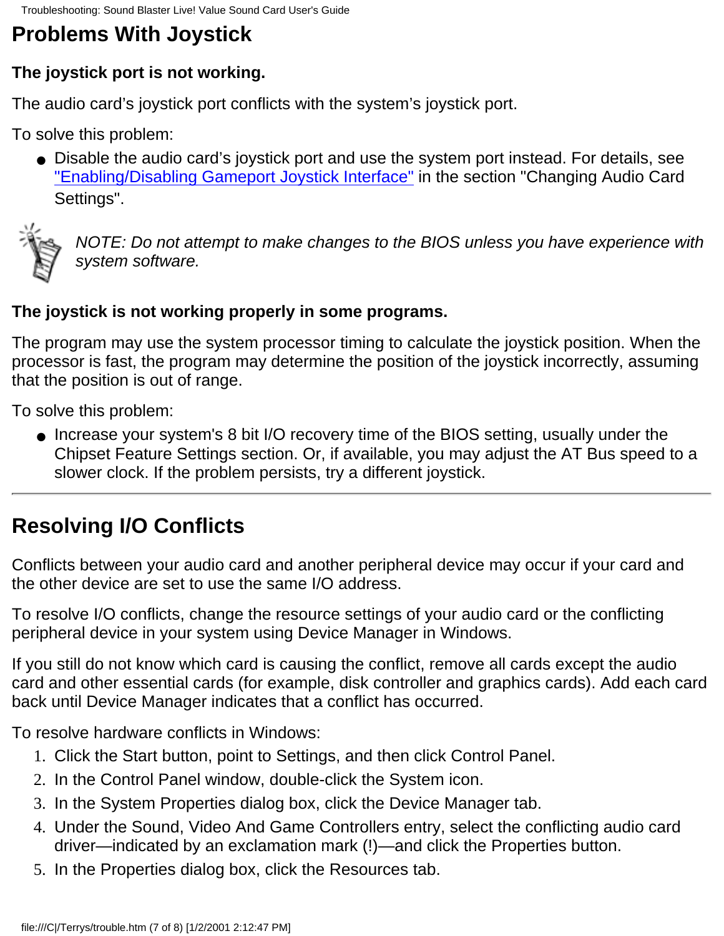# **Problems With Joystick**

### **The joystick port is not working.**

The audio card's joystick port conflicts with the system's joystick port.

To solve this problem:

● Disable the audio card's joystick port and use the system port instead. For details, see "Enabling/Disabling Gameport Joystick Interface" in the section "Changing Audio Card Settings".



*NOTE: Do not attempt to make changes to the BIOS unless you have experience with system software.*

### **The joystick is not working properly in some programs.**

The program may use the system processor timing to calculate the joystick position. When the processor is fast, the program may determine the position of the joystick incorrectly, assuming that the position is out of range.

To solve this problem:

● Increase your system's 8 bit I/O recovery time of the BIOS setting, usually under the Chipset Feature Settings section. Or, if available, you may adjust the AT Bus speed to a slower clock. If the problem persists, try a different joystick.

## **Resolving I/O Conflicts**

Conflicts between your audio card and another peripheral device may occur if your card and the other device are set to use the same I/O address.

To resolve I/O conflicts, change the resource settings of your audio card or the conflicting peripheral device in your system using Device Manager in Windows.

If you still do not know which card is causing the conflict, remove all cards except the audio card and other essential cards (for example, disk controller and graphics cards). Add each card back until Device Manager indicates that a conflict has occurred.

To resolve hardware conflicts in Windows:

- 1. Click the Start button, point to Settings, and then click Control Panel.
- 2. In the Control Panel window, double-click the System icon.
- 3. In the System Properties dialog box, click the Device Manager tab.
- Under the Sound, Video And Game Controllers entry, select the conflicting audio card 4. driver—indicated by an exclamation mark (!)—and click the Properties button.
- 5. In the Properties dialog box, click the Resources tab.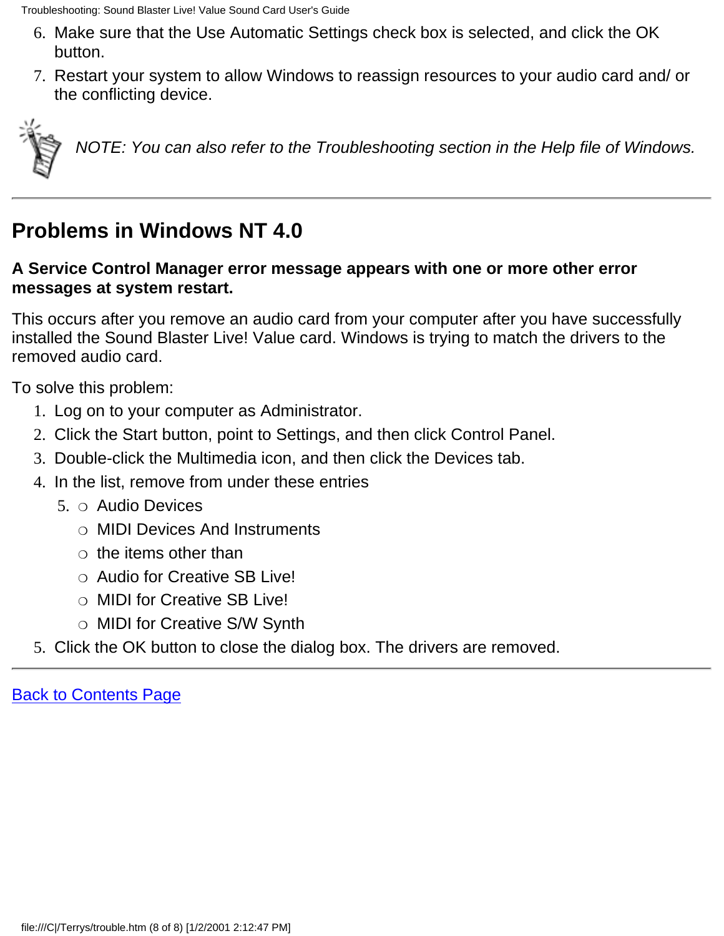- Make sure that the Use Automatic Settings check box is selected, and click the OK 6. button.
- 7. Restart your system to allow Windows to reassign resources to your audio card and/ or the conflicting device.



*NOTE: You can also refer to the Troubleshooting section in the Help file of Windows.*

## **Problems in Windows NT 4.0**

#### **A Service Control Manager error message appears with one or more other error messages at system restart.**

This occurs after you remove an audio card from your computer after you have successfully installed the Sound Blaster Live! Value card. Windows is trying to match the drivers to the removed audio card.

To solve this problem:

- 1. Log on to your computer as Administrator.
- 2. Click the Start button, point to Settings, and then click Control Panel.
- 3. Double-click the Multimedia icon, and then click the Devices tab.
- 4. In the list, remove from under these entries
	- 5. o Audio Devices
		- ❍ MIDI Devices And Instruments
		- $\circ$  the items other than
		- ❍ Audio for Creative SB Live!
		- ❍ MIDI for Creative SB Live!
		- ❍ MIDI for Creative S/W Synth
- 5. Click the OK button to close the dialog box. The drivers are removed.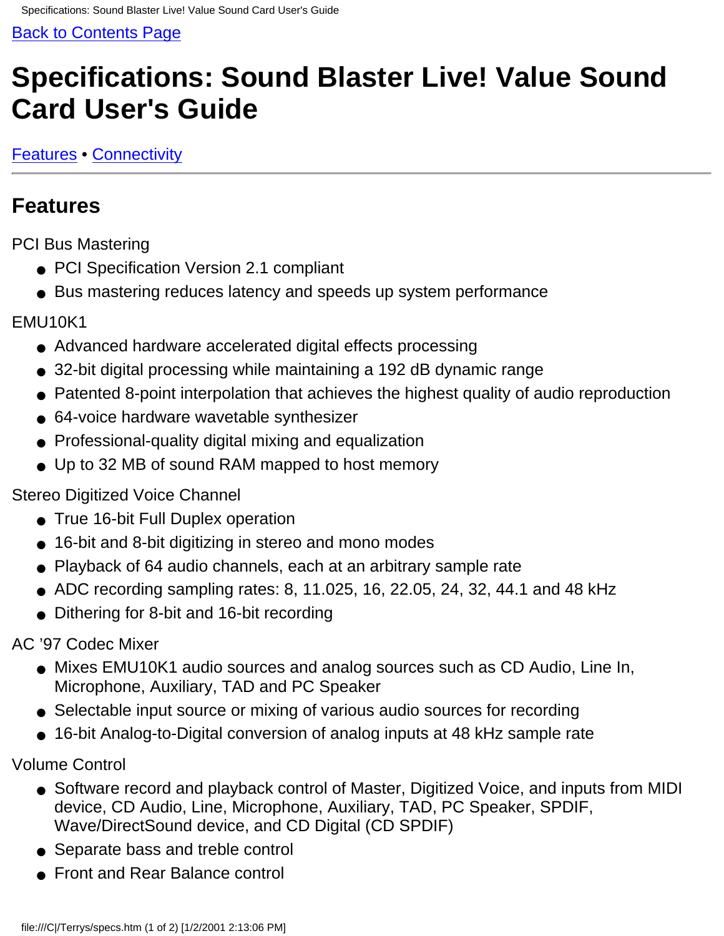# <span id="page-35-0"></span>**Specifications: Sound Blaster Live! Value Sound Card User's Guide**

[Features](#page-35-1) • [Connectivity](#page-36-0)

## <span id="page-35-1"></span>**Features**

PCI Bus Mastering

- PCI Specification Version 2.1 compliant
- Bus mastering reduces latency and speeds up system performance

#### EMU10K1

- Advanced hardware accelerated digital effects processing
- 32-bit digital processing while maintaining a 192 dB dynamic range
- Patented 8-point interpolation that achieves the highest quality of audio reproduction
- 64-voice hardware wavetable synthesizer
- Professional-quality digital mixing and equalization
- Up to 32 MB of sound RAM mapped to host memory

#### Stereo Digitized Voice Channel

- True 16-bit Full Duplex operation
- 16-bit and 8-bit digitizing in stereo and mono modes
- Playback of 64 audio channels, each at an arbitrary sample rate
- $\bullet$  ADC recording sampling rates: 8, 11.025, 16, 22.05, 24, 32, 44.1 and 48 kHz
- Dithering for 8-bit and 16-bit recording

AC '97 Codec Mixer

- Mixes EMU10K1 audio sources and analog sources such as CD Audio, Line In, Microphone, Auxiliary, TAD and PC Speaker
- Selectable input source or mixing of various audio sources for recording
- 16-bit Analog-to-Digital conversion of analog inputs at 48 kHz sample rate

Volume Control

- Software record and playback control of Master, Digitized Voice, and inputs from MIDI device, CD Audio, Line, Microphone, Auxiliary, TAD, PC Speaker, SPDIF, Wave/DirectSound device, and CD Digital (CD SPDIF)
- Separate bass and treble control
- Front and Rear Balance control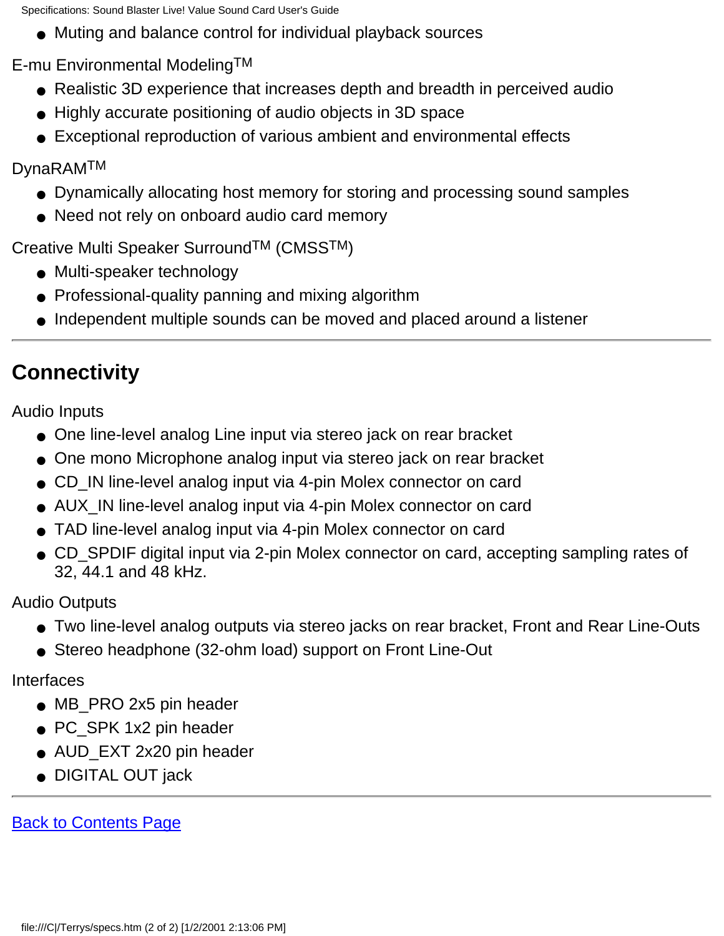Specifications: Sound Blaster Live! Value Sound Card User's Guide

● Muting and balance control for individual playback sources

E-mu Environmental ModelingTM

- Realistic 3D experience that increases depth and breadth in perceived audio
- Highly accurate positioning of audio objects in 3D space
- Exceptional reproduction of various ambient and environmental effects

DynaRAMTM

- Dynamically allocating host memory for storing and processing sound samples
- Need not rely on onboard audio card memory

Creative Multi Speaker SurroundTM (CMSSTM)

- Multi-speaker technology
- Professional-quality panning and mixing algorithm
- Independent multiple sounds can be moved and placed around a listener

## <span id="page-36-0"></span>**Connectivity**

Audio Inputs

- One line-level analog Line input via stereo jack on rear bracket
- One mono Microphone analog input via stereo jack on rear bracket
- CD\_IN line-level analog input via 4-pin Molex connector on card
- AUX\_IN line-level analog input via 4-pin Molex connector on card
- TAD line-level analog input via 4-pin Molex connector on card
- CD\_SPDIF digital input via 2-pin Molex connector on card, accepting sampling rates of 32, 44.1 and 48 kHz.

Audio Outputs

- Two line-level analog outputs via stereo jacks on rear bracket, Front and Rear Line-Outs
- Stereo headphone (32-ohm load) support on Front Line-Out

#### Interfaces

- MB\_PRO 2x5 pin header
- PC\_SPK 1x2 pin header
- AUD\_EXT 2x20 pin header
- DIGITAL OUT jack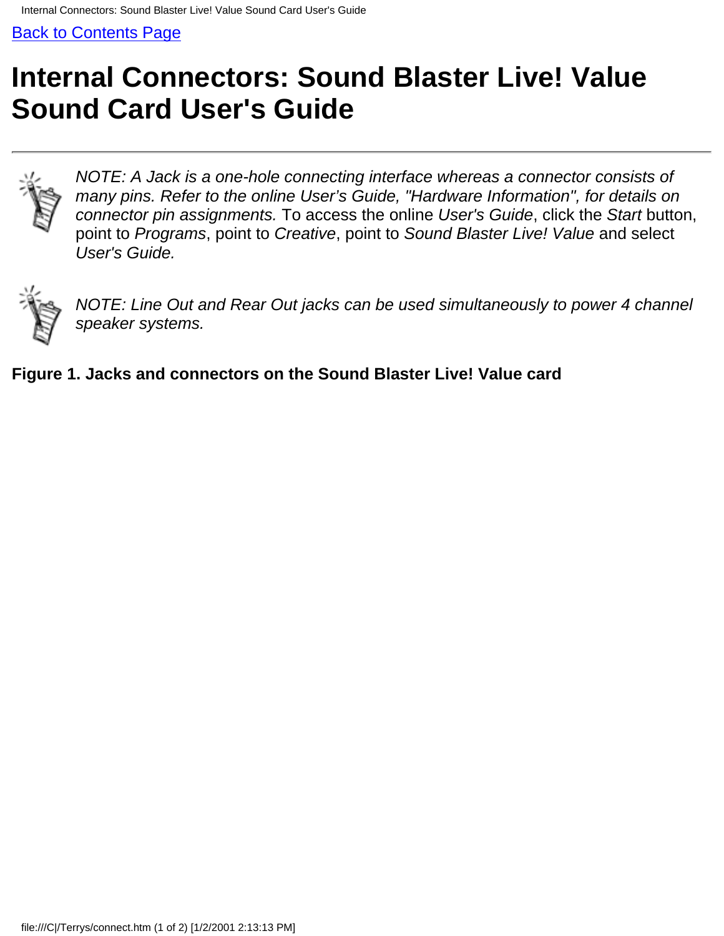# <span id="page-37-0"></span>**Internal Connectors: Sound Blaster Live! Value Sound Card User's Guide**



*NOTE: A Jack is a one-hole connecting interface whereas a connector consists of many pins. Refer to the online User's Guide, "Hardware Information", for details on connector pin assignments.* To access the online *User's Guide*, click the *Start* button, point to *Programs*, point to *Creative*, point to *Sound Blaster Live! Value* and select *User's Guide.*



*NOTE: Line Out and Rear Out jacks can be used simultaneously to power 4 channel speaker systems.*

**Figure 1. Jacks and connectors on the Sound Blaster Live! Value card**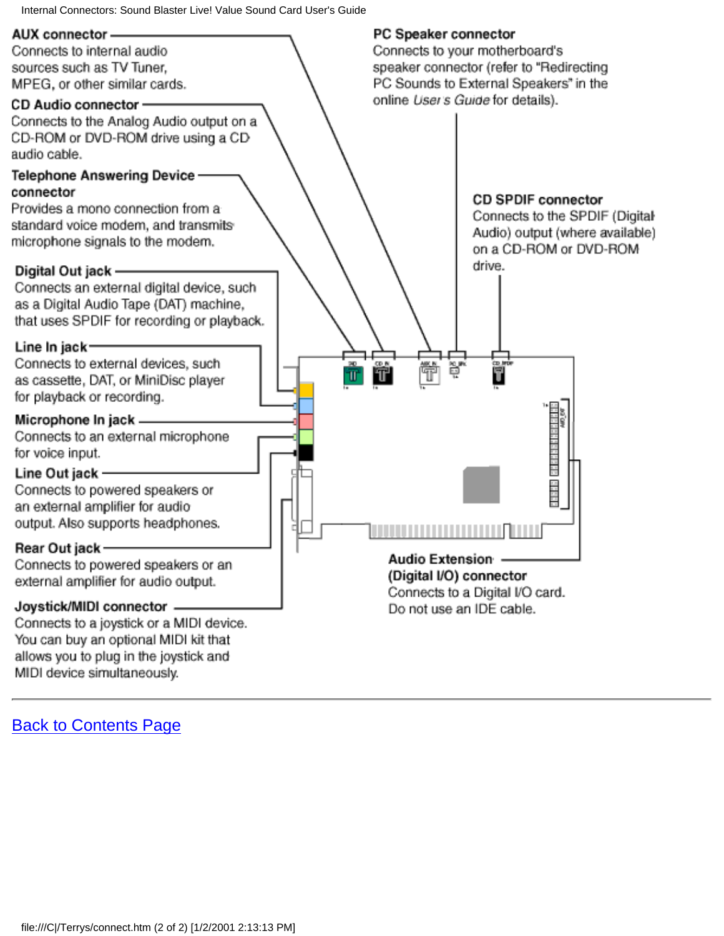Internal Connectors: Sound Blaster Live! Value Sound Card User's Guide

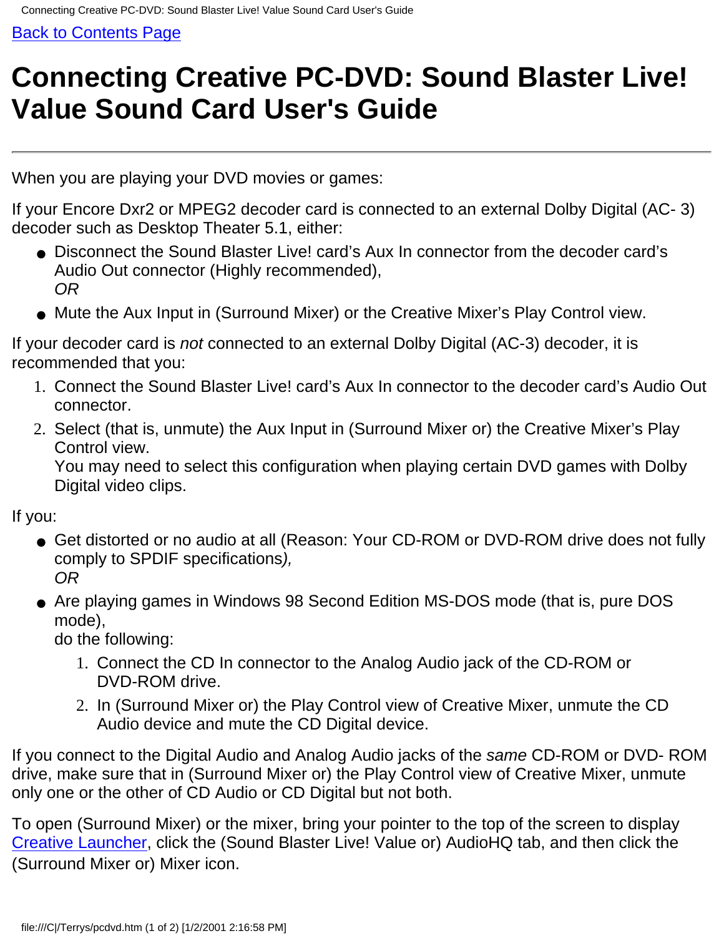# <span id="page-39-0"></span>**Connecting Creative PC-DVD: Sound Blaster Live! Value Sound Card User's Guide**

When you are playing your DVD movies or games:

If your Encore Dxr2 or MPEG2 decoder card is connected to an external Dolby Digital (AC- 3) decoder such as Desktop Theater 5.1, either:

- Disconnect the Sound Blaster Live! card's Aux In connector from the decoder card's Audio Out connector (Highly recommended), *OR*
- Mute the Aux Input in (Surround Mixer) or the Creative Mixer's Play Control view.

If your decoder card is *not* connected to an external Dolby Digital (AC-3) decoder, it is recommended that you:

- Connect the Sound Blaster Live! card's Aux In connector to the decoder card's Audio Out 1. connector.
- 2. Select (that is, unmute) the Aux Input in (Surround Mixer or) the Creative Mixer's Play Control view.

You may need to select this configuration when playing certain DVD games with Dolby Digital video clips.

If you:

- Get distorted or no audio at all (Reason: Your CD-ROM or DVD-ROM drive does not fully comply to SPDIF specifications*), OR*
- Are playing games in Windows 98 Second Edition MS-DOS mode (that is, pure DOS mode),

do the following:

- 1. Connect the CD In connector to the Analog Audio jack of the CD-ROM or DVD-ROM drive.
- 2. In (Surround Mixer or) the Play Control view of Creative Mixer, unmute the CD Audio device and mute the CD Digital device.

If you connect to the Digital Audio and Analog Audio jacks of the *same* CD-ROM or DVD- ROM drive, make sure that in (Surround Mixer or) the Play Control view of Creative Mixer, unmute only one or the other of CD Audio or CD Digital but not both.

To open (Surround Mixer) or the mixer, bring your pointer to the top of the screen to display [Creative Launcher](#page-48-0), click the (Sound Blaster Live! Value or) AudioHQ tab, and then click the (Surround Mixer or) Mixer icon.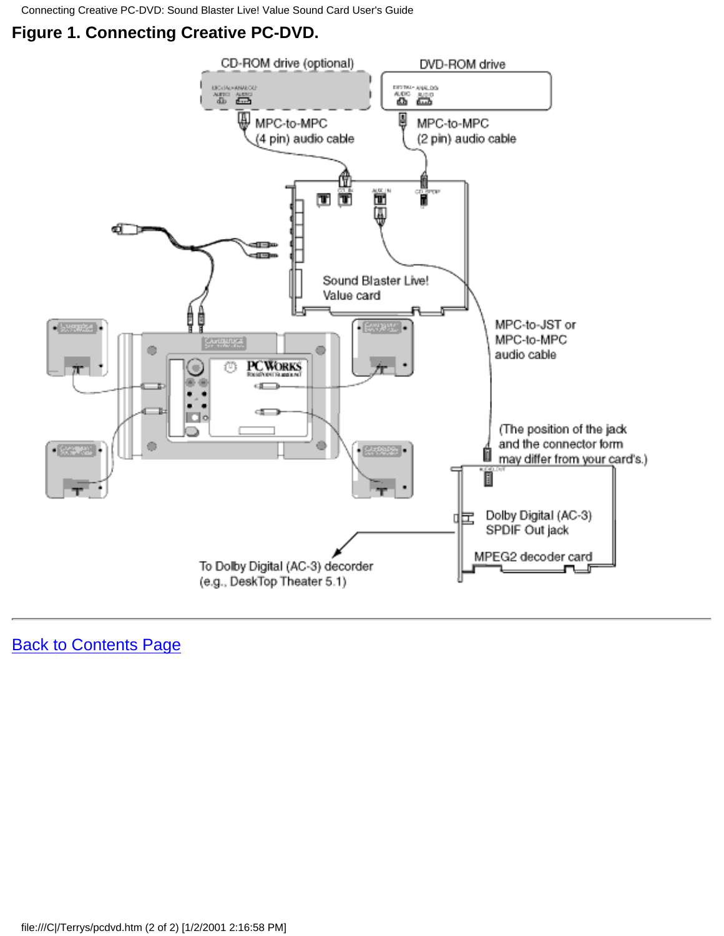Connecting Creative PC-DVD: Sound Blaster Live! Value Sound Card User's Guide

#### **Figure 1. Connecting Creative PC-DVD.**

![](_page_40_Figure_2.jpeg)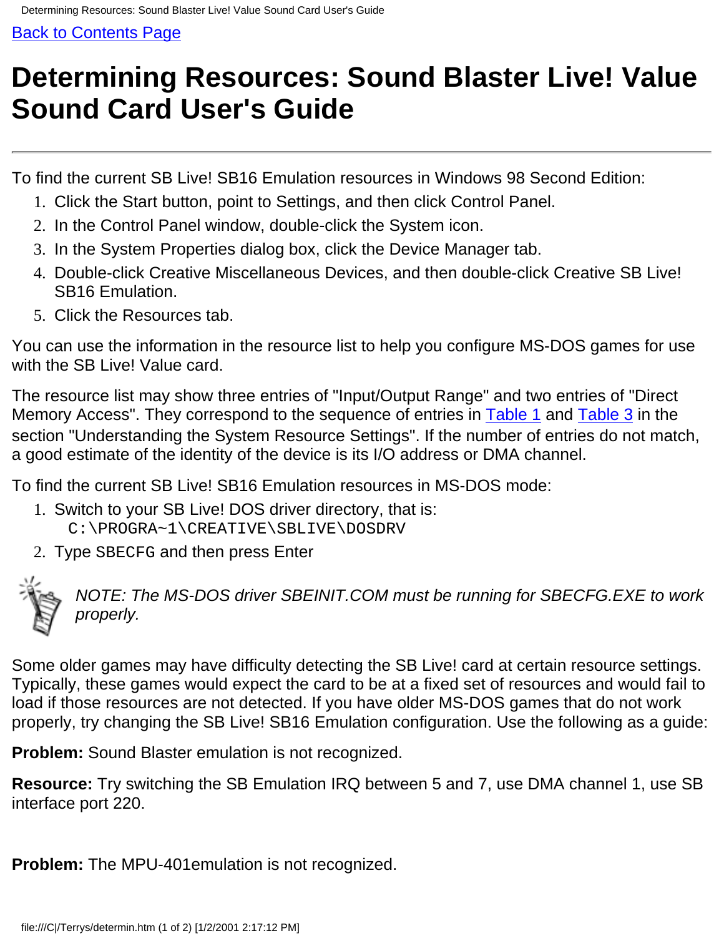# <span id="page-41-0"></span>**Determining Resources: Sound Blaster Live! Value Sound Card User's Guide**

To find the current SB Live! SB16 Emulation resources in Windows 98 Second Edition:

- 1. Click the Start button, point to Settings, and then click Control Panel.
- 2. In the Control Panel window, double-click the System icon.
- 3. In the System Properties dialog box, click the Device Manager tab.
- Double-click Creative Miscellaneous Devices, and then double-click Creative SB Live! 4. SB16 Emulation.
- 5. Click the Resources tab.

You can use the information in the resource list to help you configure MS-DOS games for use with the SB Live! Value card.

The resource list may show three entries of "Input/Output Range" and two entries of "Direct Memory Access". They correspond to the sequence of entries in Table 1 and Table 3 in the section "Understanding the System Resource Settings". If the number of entries do not match, a good estimate of the identity of the device is its I/O address or DMA channel.

To find the current SB Live! SB16 Emulation resources in MS-DOS mode:

- 1. Switch to your SB Live! DOS driver directory, that is: C:\PROGRA~1\CREATIVE\SBLIVE\DOSDRV
- 2. Type SBECFG and then press Enter

![](_page_41_Picture_14.jpeg)

*NOTE: The MS-DOS driver SBEINIT.COM must be running for SBECFG.EXE to work properly.*

Some older games may have difficulty detecting the SB Live! card at certain resource settings. Typically, these games would expect the card to be at a fixed set of resources and would fail to load if those resources are not detected. If you have older MS-DOS games that do not work properly, try changing the SB Live! SB16 Emulation configuration. Use the following as a guide:

**Problem:** Sound Blaster emulation is not recognized.

**Resource:** Try switching the SB Emulation IRQ between 5 and 7, use DMA channel 1, use SB interface port 220.

**Problem:** The MPU-401emulation is not recognized.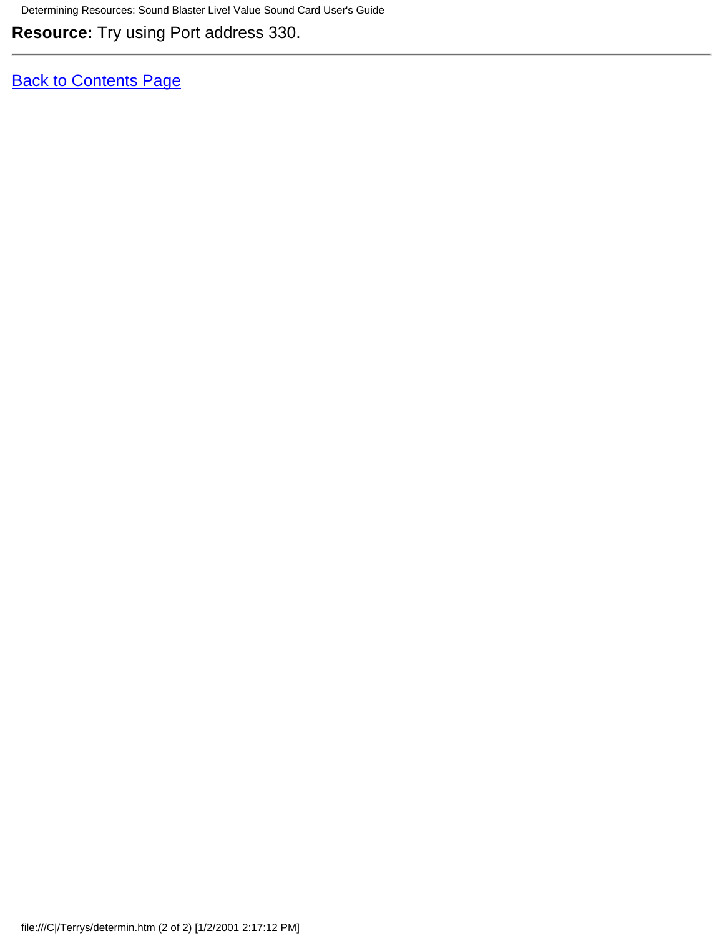Determining Resources: Sound Blaster Live! Value Sound Card User's Guide

**Resource:** Try using Port address 330.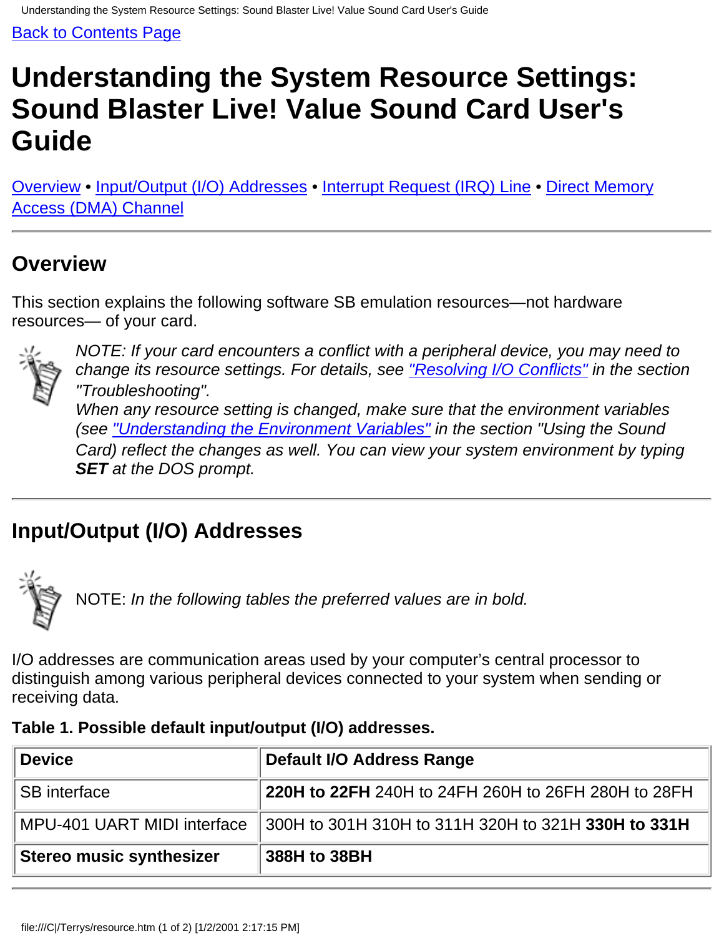# <span id="page-43-0"></span>**Understanding the System Resource Settings: Sound Blaster Live! Value Sound Card User's Guide**

Overview • Input/Output (I/O) Addresses • Interrupt Request (IRQ) Line • Direct Memory Access (DMA) Channel

## **Overview**

This section explains the following software SB emulation resources—not hardware resources— of your card.

![](_page_43_Picture_6.jpeg)

*NOTE: If your card encounters a conflict with a peripheral device, you may need to change its resource settings. For details, see "Resolving I/O Conflicts" in the section "Troubleshooting". When any resource setting is changed, make sure that the environment variables (see ["Understanding the Environment Variables"](#page-2-0) in the section "Using the Sound Card) reflect the changes as well. You can view your system environment by typing SET at the DOS prompt.*

## **Input/Output (I/O) Addresses**

![](_page_43_Picture_9.jpeg)

NOTE: *In the following tables the preferred values are in bold.*

I/O addresses are communication areas used by your computer's central processor to distinguish among various peripheral devices connected to your system when sending or receiving data.

| Table 1. Possible default input/output (I/O) addresses. |  |  |  |  |
|---------------------------------------------------------|--|--|--|--|
|---------------------------------------------------------|--|--|--|--|

| <b>Device</b>               | Default I/O Address Range                                  |  |  |  |  |
|-----------------------------|------------------------------------------------------------|--|--|--|--|
| <b>SB</b> interface         | <b>220H to 22FH</b> 240H to 24FH 260H to 26FH 280H to 28FH |  |  |  |  |
| MPU-401 UART MIDI interface | 300H to 301H 310H to 311H 320H to 321H 330H to 331H        |  |  |  |  |
| Stereo music synthesizer    | 388H to 38BH                                               |  |  |  |  |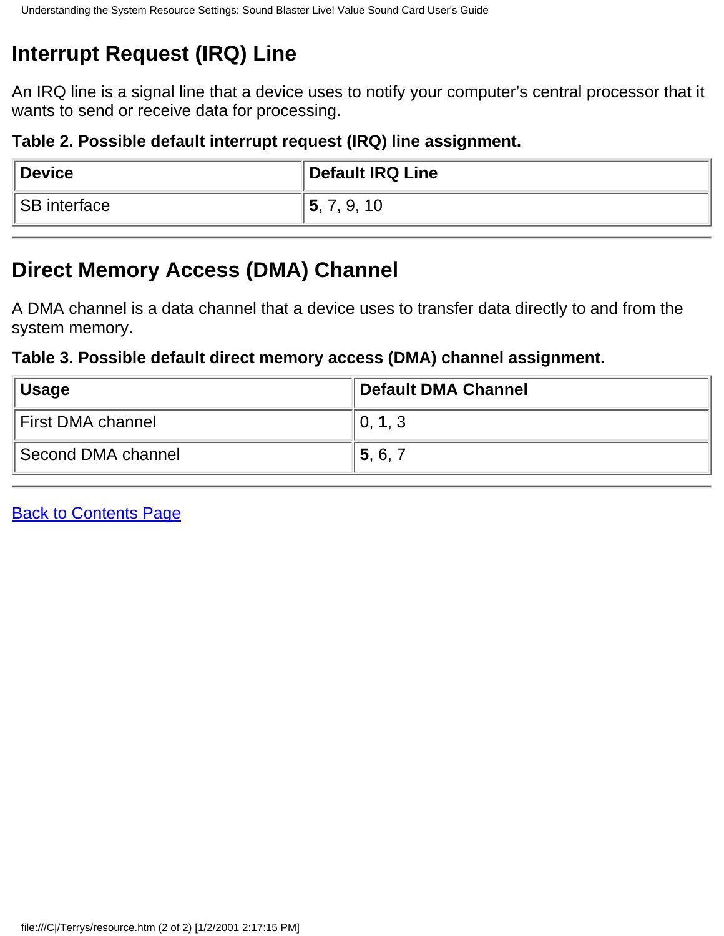## **Interrupt Request (IRQ) Line**

An IRQ line is a signal line that a device uses to notify your computer's central processor that it wants to send or receive data for processing.

#### **Table 2. Possible default interrupt request (IRQ) line assignment.**

| <b>Device</b> | <b>Default IRQ Line</b> |
|---------------|-------------------------|
| SB interface  | 5.<br>7, 9, 10          |

## **Direct Memory Access (DMA) Channel**

A DMA channel is a data channel that a device uses to transfer data directly to and from the system memory.

#### **Table 3. Possible default direct memory access (DMA) channel assignment.**

| ∥Usage             | Default DMA Channel |  |  |  |  |
|--------------------|---------------------|--|--|--|--|
| First DMA channel  | 0, 1, 3             |  |  |  |  |
| Second DMA channel | 5, 6, 7             |  |  |  |  |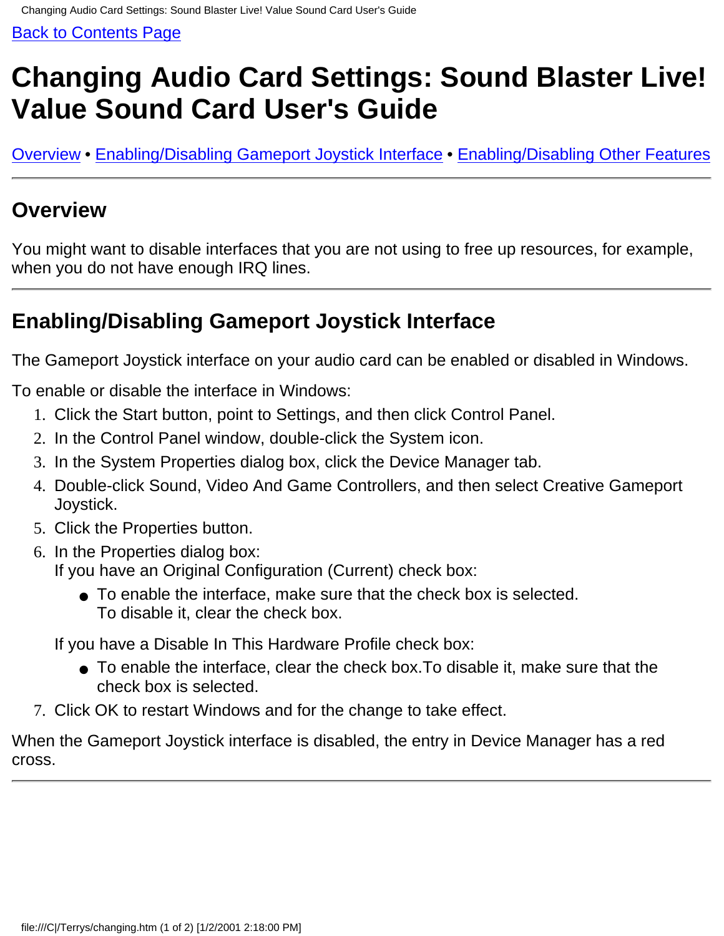# <span id="page-45-0"></span>**Changing Audio Card Settings: Sound Blaster Live! Value Sound Card User's Guide**

Overview • Enabling/Disabling Gameport Joystick Interface • Enabling/Disabling Other Features

### **Overview**

You might want to disable interfaces that you are not using to free up resources, for example, when you do not have enough IRQ lines.

## **Enabling/Disabling Gameport Joystick Interface**

The Gameport Joystick interface on your audio card can be enabled or disabled in Windows.

To enable or disable the interface in Windows:

- 1. Click the Start button, point to Settings, and then click Control Panel.
- 2. In the Control Panel window, double-click the System icon.
- 3. In the System Properties dialog box, click the Device Manager tab.
- Double-click Sound, Video And Game Controllers, and then select Creative Gameport 4. Joystick.
- 5. Click the Properties button.
- 6. In the Properties dialog box: If you have an Original Configuration (Current) check box:
	- To enable the interface, make sure that the check box is selected. To disable it, clear the check box.

If you have a Disable In This Hardware Profile check box:

- To enable the interface, clear the check box.To disable it, make sure that the check box is selected.
- 7. Click OK to restart Windows and for the change to take effect.

When the Gameport Joystick interface is disabled, the entry in Device Manager has a red cross.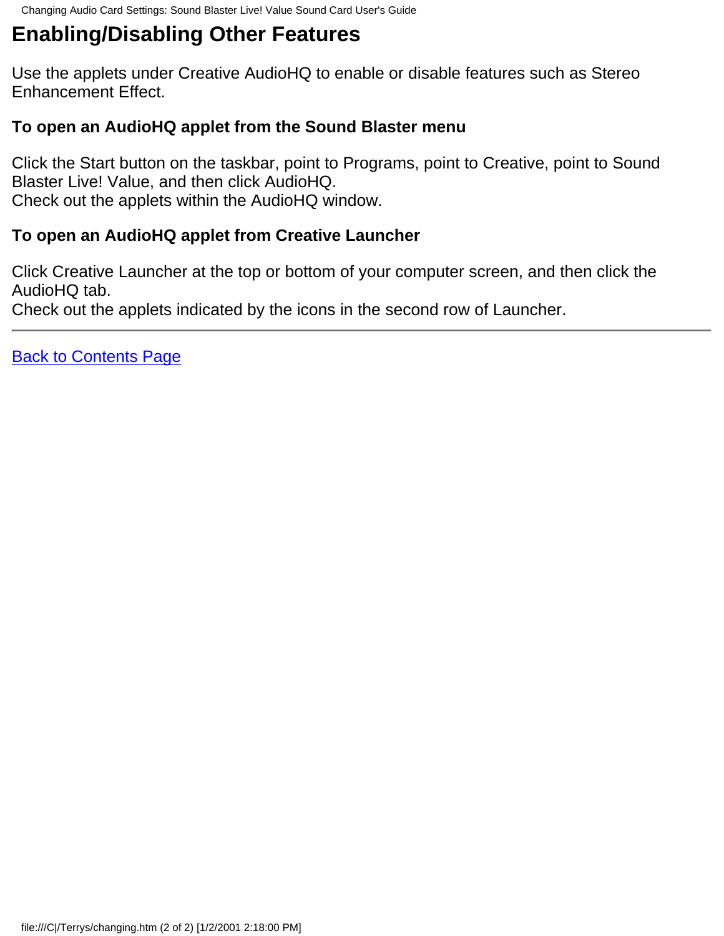## **Enabling/Disabling Other Features**

Use the applets under Creative AudioHQ to enable or disable features such as Stereo Enhancement Effect.

#### **To open an AudioHQ applet from the Sound Blaster menu**

Click the Start button on the taskbar, point to Programs, point to Creative, point to Sound Blaster Live! Value, and then click AudioHQ. Check out the applets within the AudioHQ window.

#### **To open an AudioHQ applet from Creative Launcher**

Click Creative Launcher at the top or bottom of your computer screen, and then click the AudioHQ tab.

Check out the applets indicated by the icons in the second row of Launcher.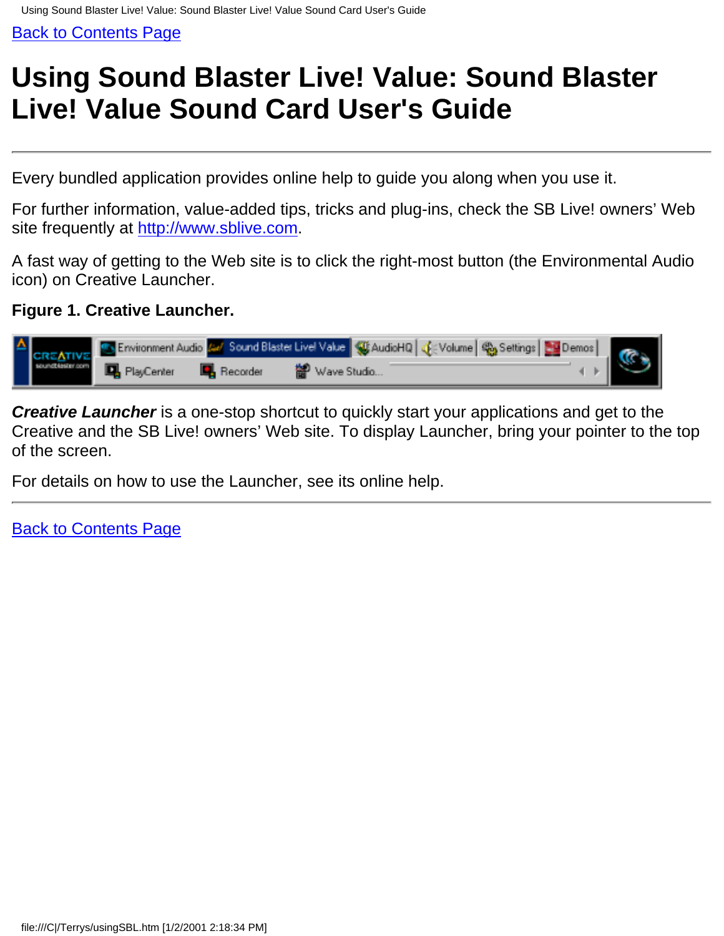# <span id="page-47-0"></span>**Using Sound Blaster Live! Value: Sound Blaster Live! Value Sound Card User's Guide**

Every bundled application provides online help to guide you along when you use it.

For further information, value-added tips, tricks and plug-ins, check the SB Live! owners' Web site frequently at [http://www.sblive.com.](http://www.sblive.com/)

A fast way of getting to the Web site is to click the right-most button (the Environmental Audio icon) on Creative Launcher.

#### **Figure 1. Creative Launcher.**

|  | <b>A</b> CREATIVE Environment Audio <b>AM</b> Sound Blaster Livel Value GE AudioHQ GE Volume GE Settings 20 Demos   CO   CREATIVE   PlayCenter   CO   Recorder   20 Wave Studio |             |  |  |  |
|--|---------------------------------------------------------------------------------------------------------------------------------------------------------------------------------|-------------|--|--|--|
|  |                                                                                                                                                                                 | Wave Studio |  |  |  |

**Creative Launcher** is a one-stop shortcut to quickly start your applications and get to the Creative and the SB Live! owners' Web site. To display Launcher, bring your pointer to the top of the screen.

For details on how to use the Launcher, see its online help.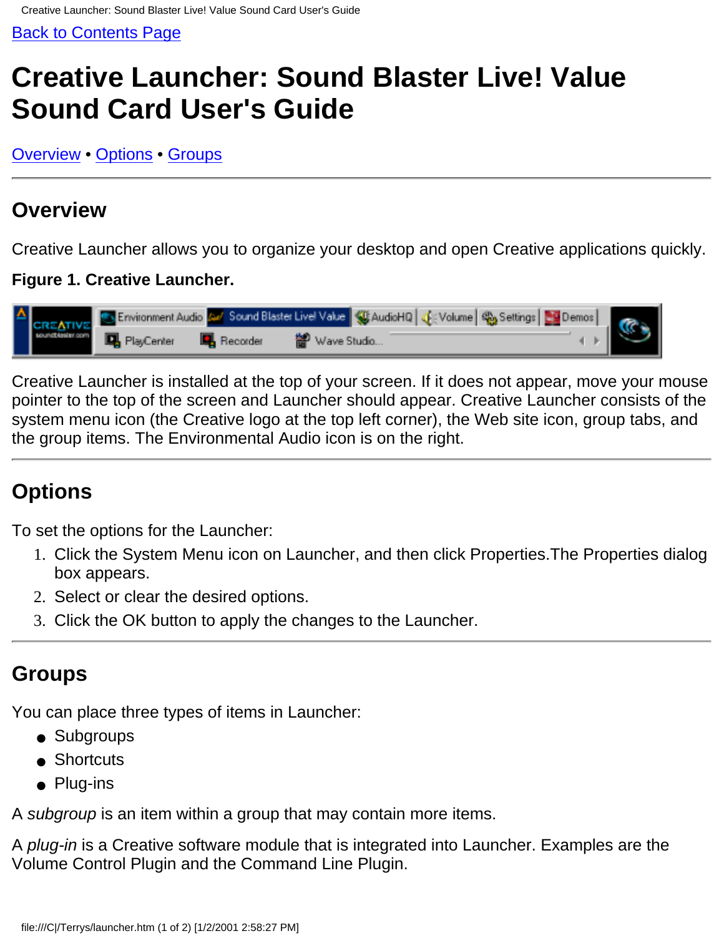# <span id="page-48-0"></span>**Creative Launcher: Sound Blaster Live! Value Sound Card User's Guide**

Overview • Options • Groups

### **Overview**

Creative Launcher allows you to organize your desktop and open Creative applications quickly.

#### **Figure 1. Creative Launcher.**

![](_page_48_Figure_7.jpeg)

Creative Launcher is installed at the top of your screen. If it does not appear, move your mouse pointer to the top of the screen and Launcher should appear. Creative Launcher consists of the system menu icon (the Creative logo at the top left corner), the Web site icon, group tabs, and the group items. The Environmental Audio icon is on the right.

## **Options**

To set the options for the Launcher:

- Click the System Menu icon on Launcher, and then click Properties.The Properties dialog 1. box appears.
- 2. Select or clear the desired options.
- 3. Click the OK button to apply the changes to the Launcher.

### **Groups**

You can place three types of items in Launcher:

- Subgroups
- Shortcuts
- Plug-ins

A *subgroup* is an item within a group that may contain more items.

A *plug-in* is a Creative software module that is integrated into Launcher. Examples are the Volume Control Plugin and the Command Line Plugin.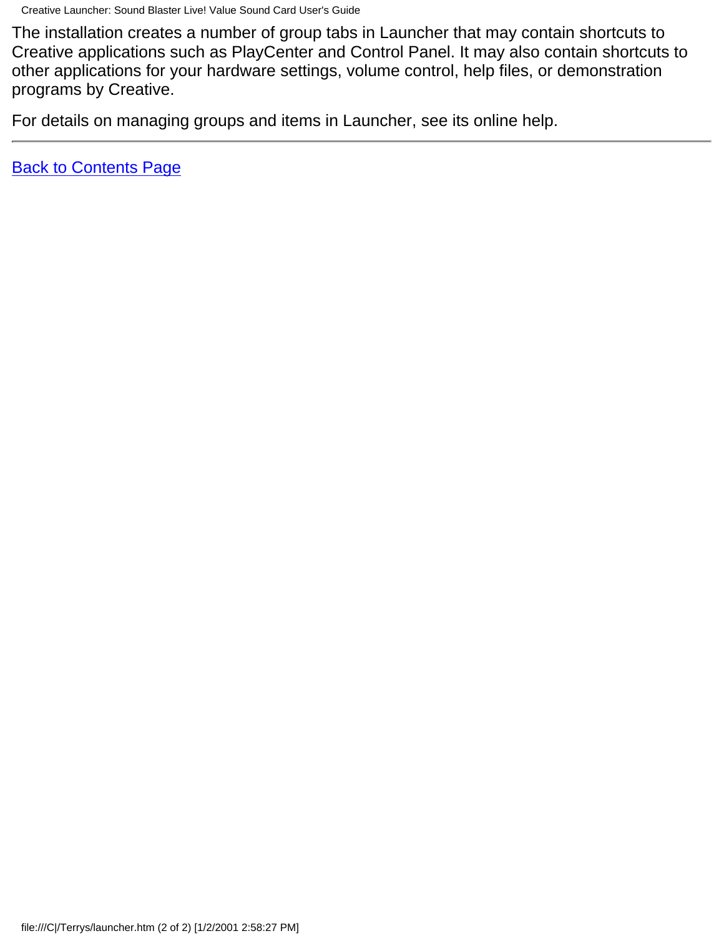The installation creates a number of group tabs in Launcher that may contain shortcuts to Creative applications such as PlayCenter and Control Panel. It may also contain shortcuts to other applications for your hardware settings, volume control, help files, or demonstration programs by Creative.

For details on managing groups and items in Launcher, see its online help.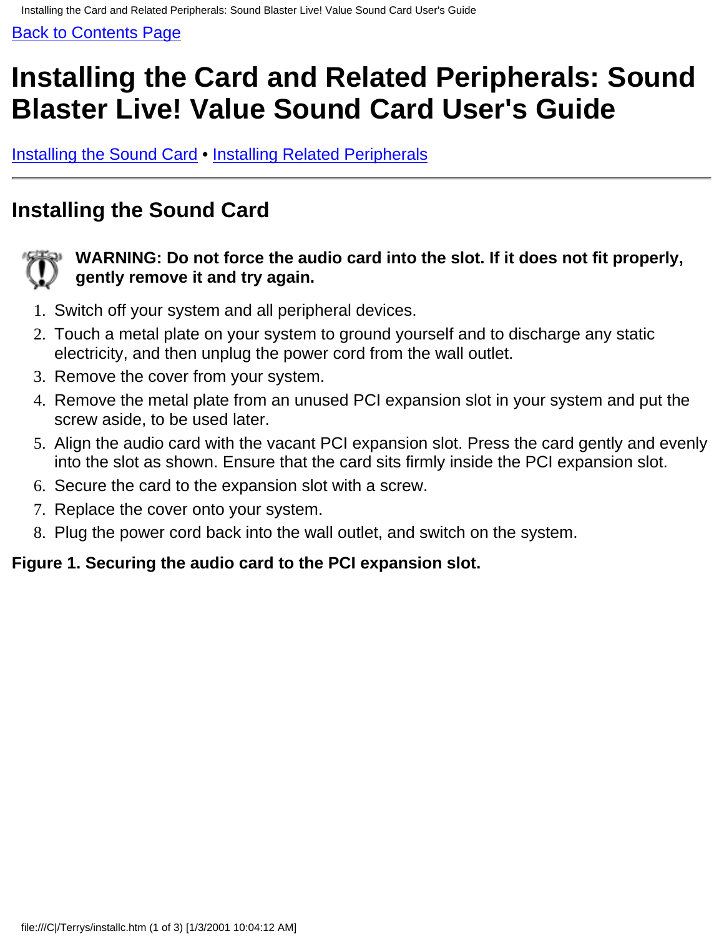# <span id="page-50-0"></span>**Installing the Card and Related Peripherals: Sound Blaster Live! Value Sound Card User's Guide**

Installing the Sound Card • Installing Related Peripherals

## **Installing the Sound Card**

![](_page_50_Picture_5.jpeg)

#### **WARNING: Do not force the audio card into the slot. If it does not fit properly, gently remove it and try again.**

- 1. Switch off your system and all peripheral devices.
- Touch a metal plate on your system to ground yourself and to discharge any static 2. electricity, and then unplug the power cord from the wall outlet.
- 3. Remove the cover from your system.
- 4. Remove the metal plate from an unused PCI expansion slot in your system and put the screw aside, to be used later.
- Align the audio card with the vacant PCI expansion slot. Press the card gently and evenly 5. into the slot as shown. Ensure that the card sits firmly inside the PCI expansion slot.
- 6. Secure the card to the expansion slot with a screw.
- 7. Replace the cover onto your system.
- 8. Plug the power cord back into the wall outlet, and switch on the system.

#### **Figure 1. Securing the audio card to the PCI expansion slot.**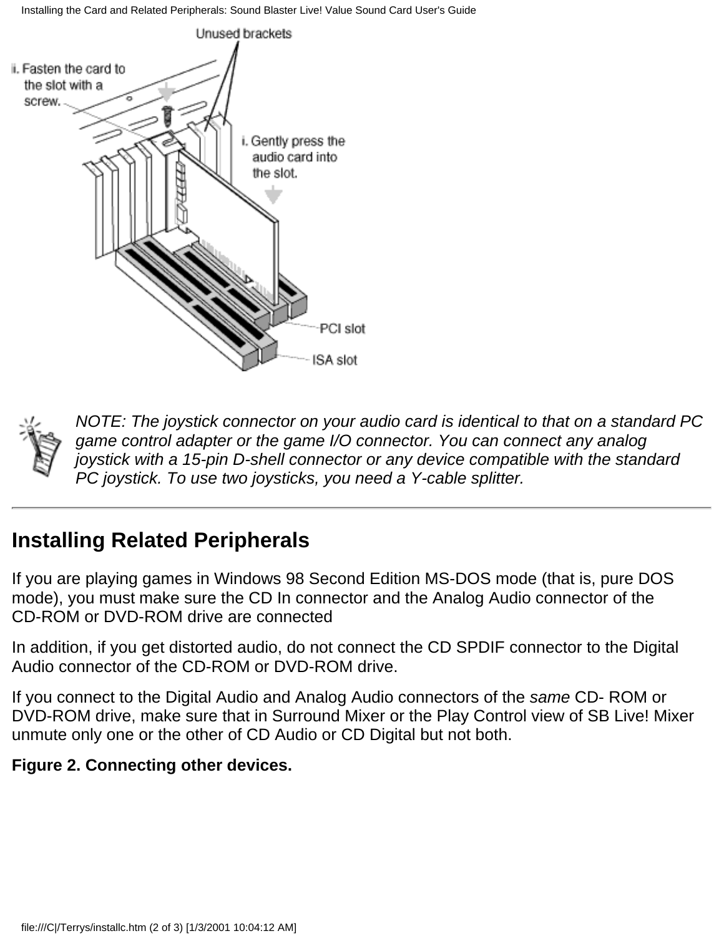Installing the Card and Related Peripherals: Sound Blaster Live! Value Sound Card User's Guide

![](_page_51_Figure_1.jpeg)

![](_page_51_Picture_2.jpeg)

*NOTE: The joystick connector on your audio card is identical to that on a standard PC game control adapter or the game I/O connector. You can connect any analog joystick with a 15-pin D-shell connector or any device compatible with the standard PC joystick. To use two joysticks, you need a Y-cable splitter.*

### **Installing Related Peripherals**

If you are playing games in Windows 98 Second Edition MS-DOS mode (that is, pure DOS mode), you must make sure the CD In connector and the Analog Audio connector of the CD-ROM or DVD-ROM drive are connected

In addition, if you get distorted audio, do not connect the CD SPDIF connector to the Digital Audio connector of the CD-ROM or DVD-ROM drive.

If you connect to the Digital Audio and Analog Audio connectors of the *same* CD- ROM or DVD-ROM drive, make sure that in Surround Mixer or the Play Control view of SB Live! Mixer unmute only one or the other of CD Audio or CD Digital but not both.

#### **Figure 2. Connecting other devices.**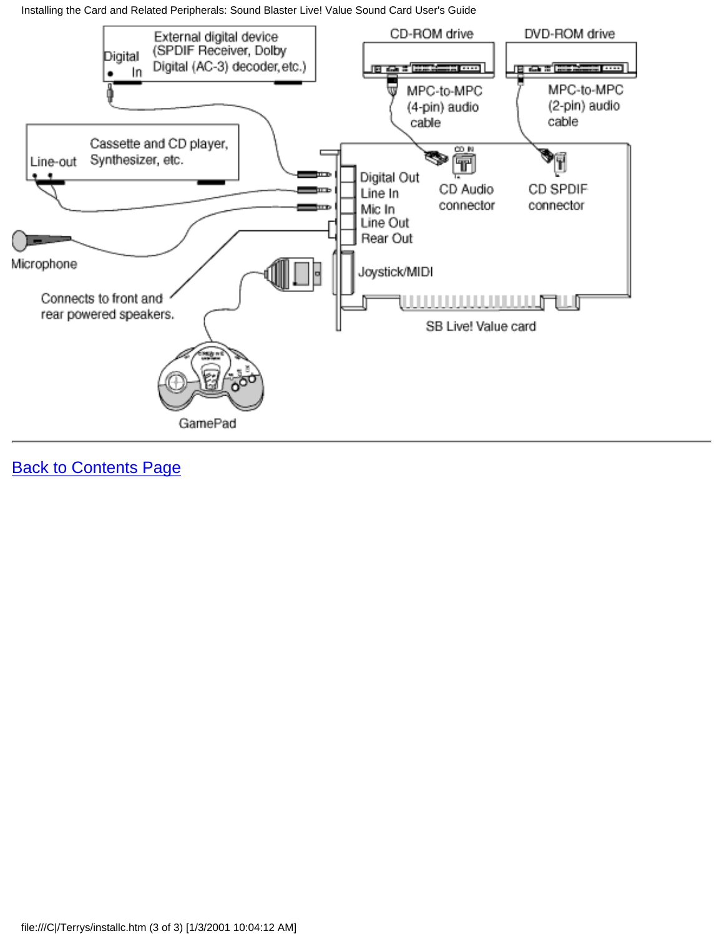Installing the Card and Related Peripherals: Sound Blaster Live! Value Sound Card User's Guide

![](_page_52_Figure_1.jpeg)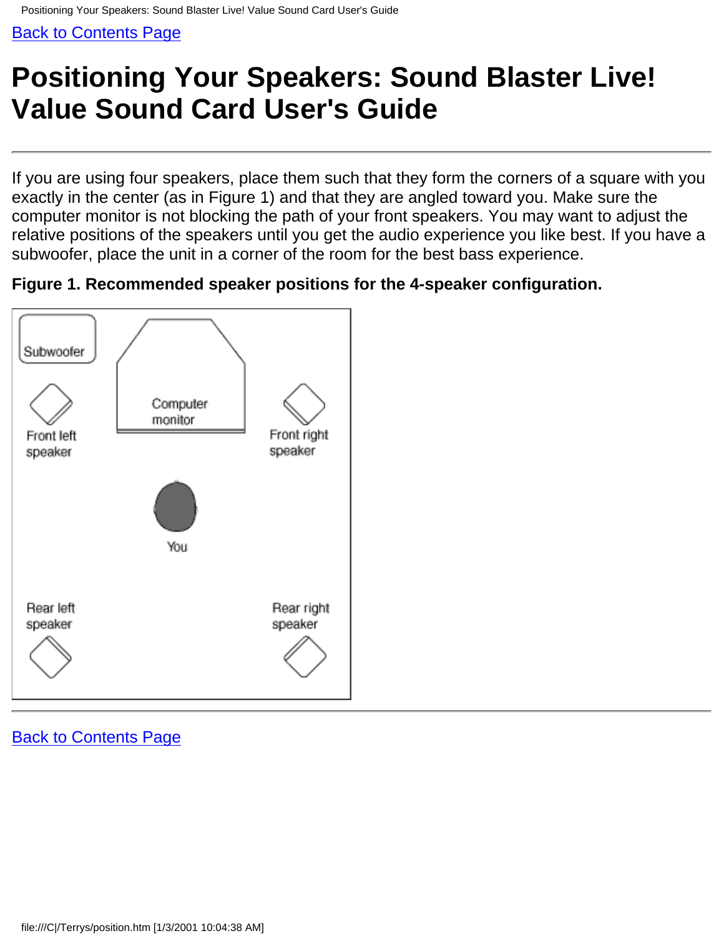# <span id="page-53-0"></span>**Positioning Your Speakers: Sound Blaster Live! Value Sound Card User's Guide**

If you are using four speakers, place them such that they form the corners of a square with you exactly in the center (as in Figure 1) and that they are angled toward you. Make sure the computer monitor is not blocking the path of your front speakers. You may want to adjust the relative positions of the speakers until you get the audio experience you like best. If you have a subwoofer, place the unit in a corner of the room for the best bass experience.

**Figure 1. Recommended speaker positions for the 4-speaker configuration.**

![](_page_53_Figure_5.jpeg)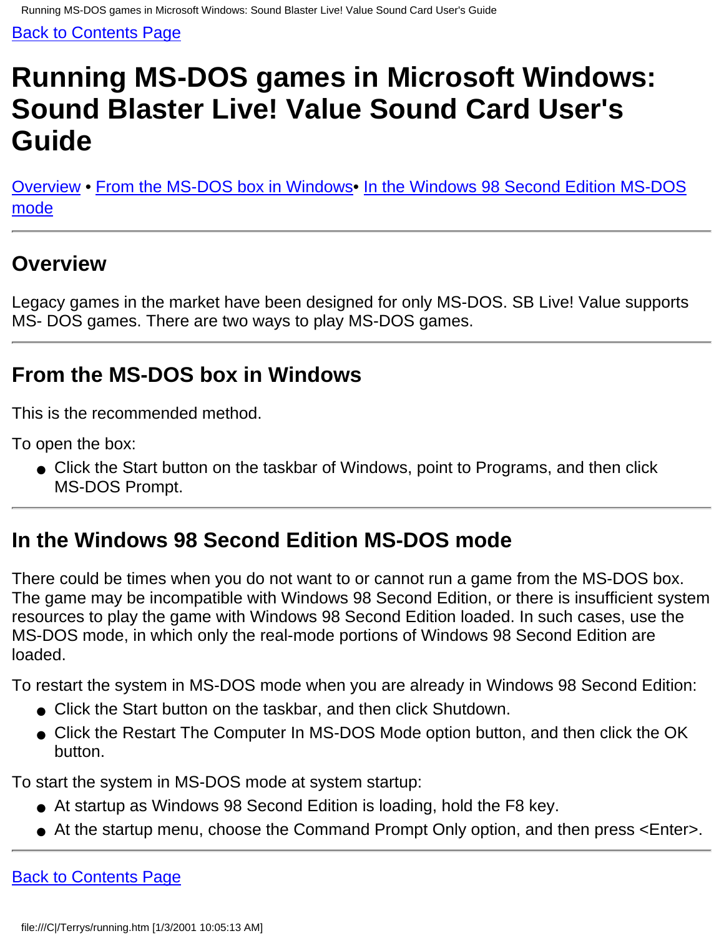# <span id="page-54-0"></span>**Running MS-DOS games in Microsoft Windows: Sound Blaster Live! Value Sound Card User's Guide**

Overview • From the MS-DOS box in Windows• In the Windows 98 Second Edition MS-DOS mode

### **Overview**

Legacy games in the market have been designed for only MS-DOS. SB Live! Value supports MS- DOS games. There are two ways to play MS-DOS games.

## **From the MS-DOS box in Windows**

This is the recommended method.

To open the box:

● Click the Start button on the taskbar of Windows, point to Programs, and then click MS-DOS Prompt.

## **In the Windows 98 Second Edition MS-DOS mode**

There could be times when you do not want to or cannot run a game from the MS-DOS box. The game may be incompatible with Windows 98 Second Edition, or there is insufficient system resources to play the game with Windows 98 Second Edition loaded. In such cases, use the MS-DOS mode, in which only the real-mode portions of Windows 98 Second Edition are loaded.

To restart the system in MS-DOS mode when you are already in Windows 98 Second Edition:

- Click the Start button on the taskbar, and then click Shutdown.
- Click the Restart The Computer In MS-DOS Mode option button, and then click the OK button.

To start the system in MS-DOS mode at system startup:

- At startup as Windows 98 Second Edition is loading, hold the F8 key.
- At the startup menu, choose the Command Prompt Only option, and then press <Enter>.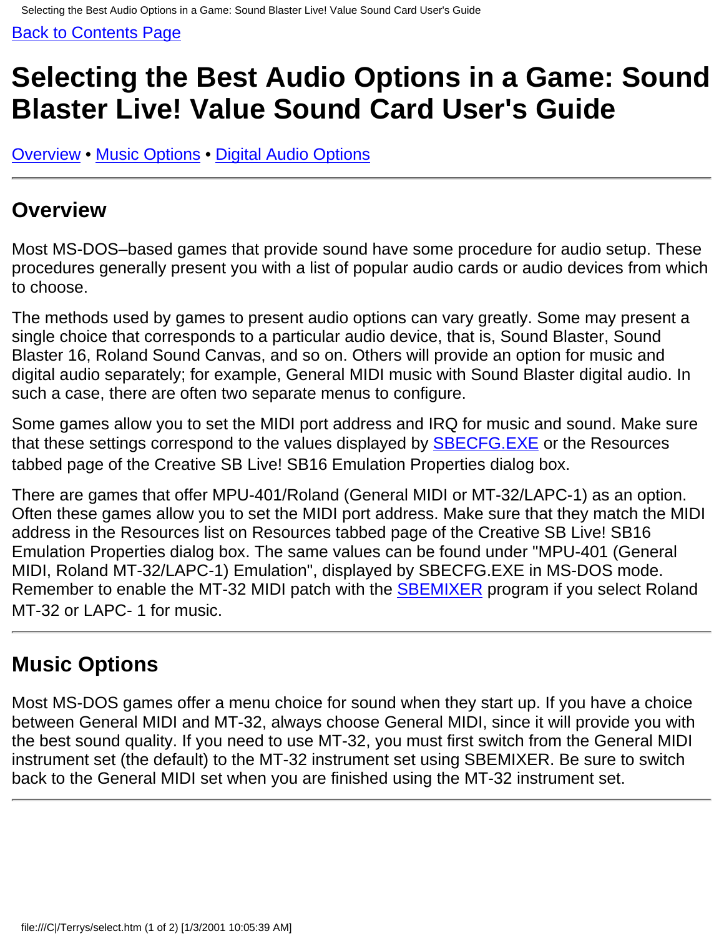# <span id="page-55-0"></span>**Selecting the Best Audio Options in a Game: Sound Blaster Live! Value Sound Card User's Guide**

Overview • Music Options • Digital Audio Options

### **Overview**

Most MS-DOS–based games that provide sound have some procedure for audio setup. These procedures generally present you with a list of popular audio cards or audio devices from which to choose.

The methods used by games to present audio options can vary greatly. Some may present a single choice that corresponds to a particular audio device, that is, Sound Blaster, Sound Blaster 16, Roland Sound Canvas, and so on. Others will provide an option for music and digital audio separately; for example, General MIDI music with Sound Blaster digital audio. In such a case, there are often two separate menus to configure.

Some games allow you to set the MIDI port address and IRQ for music and sound. Make sure that these settings correspond to the values displayed by **SBECFG.EXE** or the Resources tabbed page of the Creative SB Live! SB16 Emulation Properties dialog box.

There are games that offer MPU-401/Roland (General MIDI or MT-32/LAPC-1) as an option. Often these games allow you to set the MIDI port address. Make sure that they match the MIDI address in the Resources list on Resources tabbed page of the Creative SB Live! SB16 Emulation Properties dialog box. The same values can be found under "MPU-401 (General MIDI, Roland MT-32/LAPC-1) Emulation", displayed by SBECFG.EXE in MS-DOS mode. Remember to enable the MT-32 MIDI patch with the **SBEMIXER** program if you select Roland MT-32 or LAPC- 1 for music.

### **Music Options**

Most MS-DOS games offer a menu choice for sound when they start up. If you have a choice between General MIDI and MT-32, always choose General MIDI, since it will provide you with the best sound quality. If you need to use MT-32, you must first switch from the General MIDI instrument set (the default) to the MT-32 instrument set using SBEMIXER. Be sure to switch back to the General MIDI set when you are finished using the MT-32 instrument set.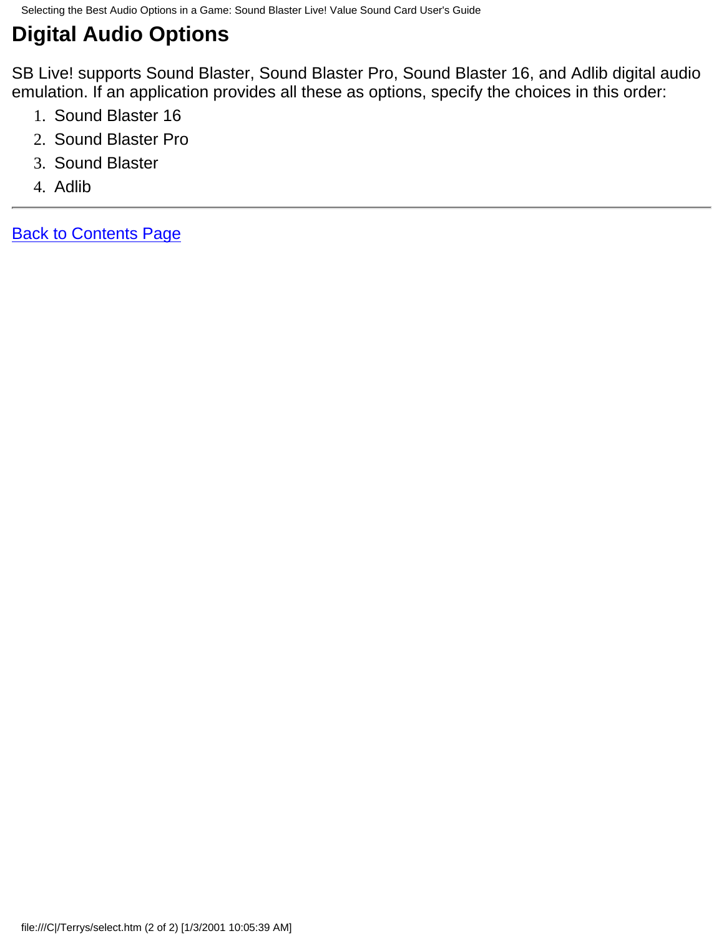## **Digital Audio Options**

SB Live! supports Sound Blaster, Sound Blaster Pro, Sound Blaster 16, and Adlib digital audio emulation. If an application provides all these as options, specify the choices in this order:

- 1. Sound Blaster 16
- 2. Sound Blaster Pro
- 3. Sound Blaster
- 4. Adlib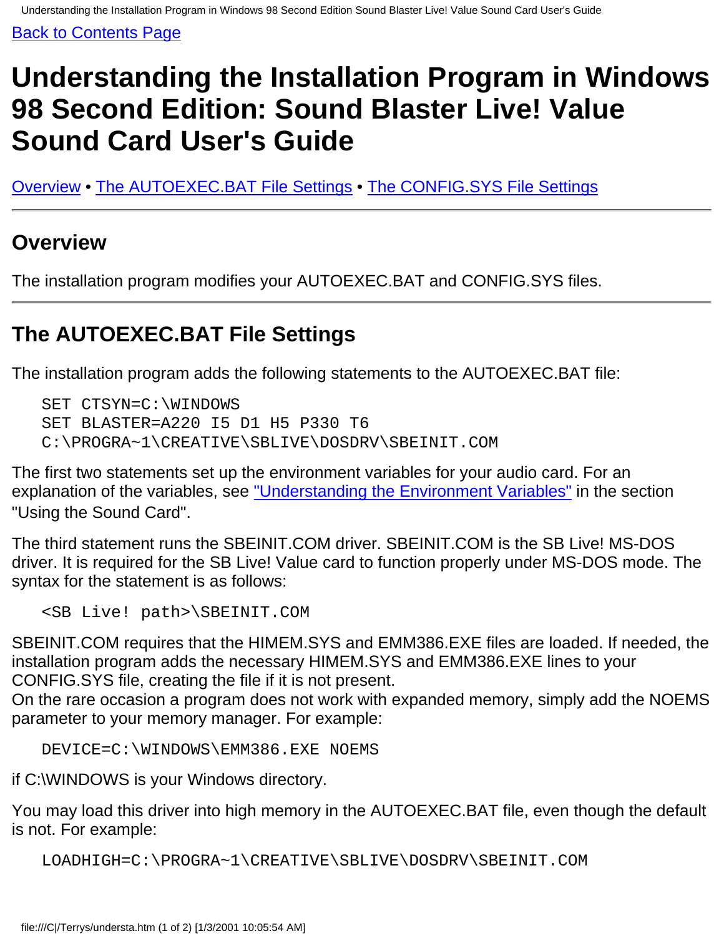# <span id="page-57-0"></span>**Understanding the Installation Program in Windows 98 Second Edition: Sound Blaster Live! Value Sound Card User's Guide**

Overview • The AUTOEXEC.BAT File Settings • The CONFIG.SYS File Settings

### **Overview**

The installation program modifies your AUTOEXEC.BAT and CONFIG.SYS files.

## **The AUTOEXEC.BAT File Settings**

The installation program adds the following statements to the AUTOEXEC.BAT file:

```
 SET CTSYN=C:\WINDOWS
SET BLASTER=A220 I5 D1 H5 P330 T6
C:\PROGRA~1\CREATIVE\SBLIVE\DOSDRV\SBEINIT.COM
```
The first two statements set up the environment variables for your audio card. For an explanation of the variables, see ["Understanding the Environment Variables"](#page-2-0) in the section "Using the Sound Card".

The third statement runs the SBEINIT.COM driver. SBEINIT.COM is the SB Live! MS-DOS driver. It is required for the SB Live! Value card to function properly under MS-DOS mode. The syntax for the statement is as follows:

```
 <SB Live! path>\SBEINIT.COM
```
SBEINIT.COM requires that the HIMEM.SYS and EMM386.EXE files are loaded. If needed, the installation program adds the necessary HIMEM.SYS and EMM386.EXE lines to your CONFIG.SYS file, creating the file if it is not present.

On the rare occasion a program does not work with expanded memory, simply add the NOEMS parameter to your memory manager. For example:

```
 DEVICE=C:\WINDOWS\EMM386.EXE NOEMS
```
if C:\WINDOWS is your Windows directory.

You may load this driver into high memory in the AUTOEXEC.BAT file, even though the default is not. For example:

```
 LOADHIGH=C:\PROGRA~1\CREATIVE\SBLIVE\DOSDRV\SBEINIT.COM
```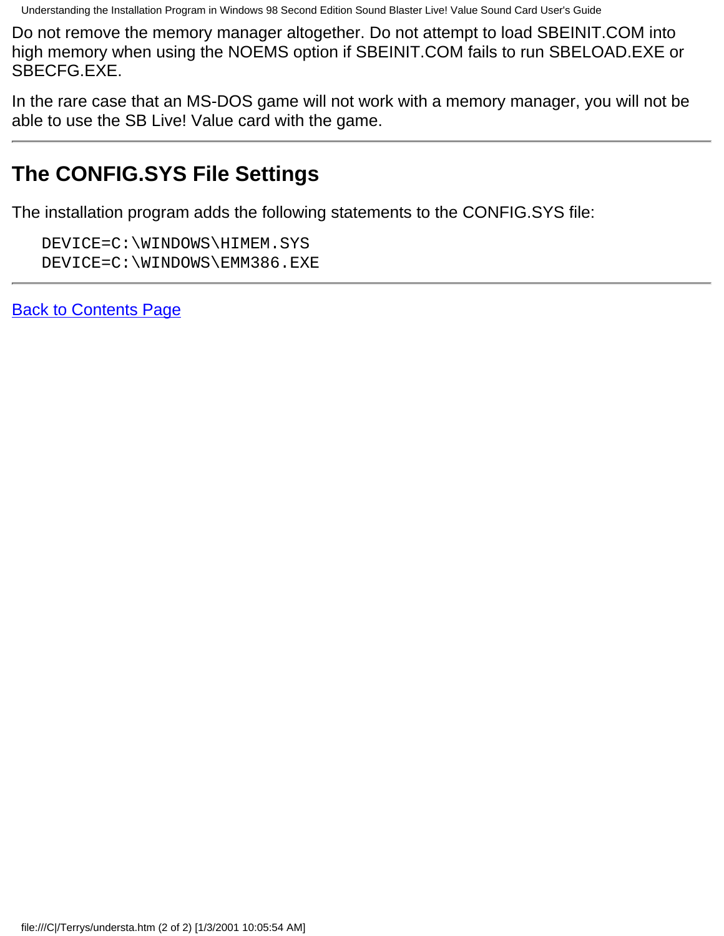Understanding the Installation Program in Windows 98 Second Edition Sound Blaster Live! Value Sound Card User's Guide

Do not remove the memory manager altogether. Do not attempt to load SBEINIT.COM into high memory when using the NOEMS option if SBEINIT.COM fails to run SBELOAD.EXE or SBECFG.EXE.

In the rare case that an MS-DOS game will not work with a memory manager, you will not be able to use the SB Live! Value card with the game.

## **The CONFIG.SYS File Settings**

The installation program adds the following statements to the CONFIG.SYS file:

 DEVICE=C:\WINDOWS\HIMEM.SYS DEVICE=C:\WINDOWS\EMM386.EXE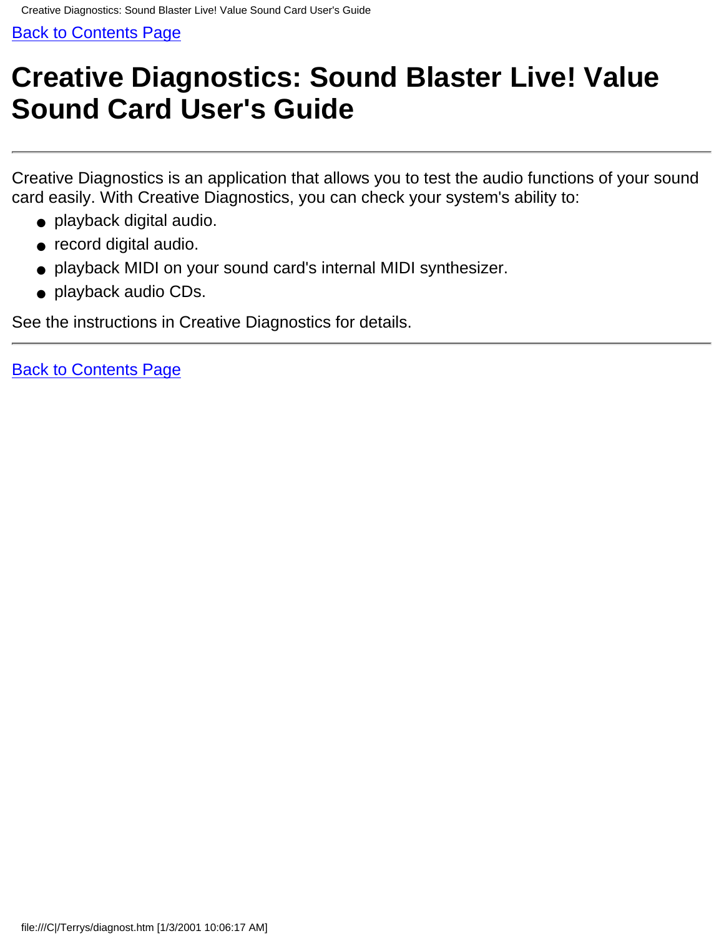# <span id="page-59-0"></span>**Creative Diagnostics: Sound Blaster Live! Value Sound Card User's Guide**

Creative Diagnostics is an application that allows you to test the audio functions of your sound card easily. With Creative Diagnostics, you can check your system's ability to:

- playback digital audio.
- record digital audio.
- playback MIDI on your sound card's internal MIDI synthesizer.
- playback audio CDs.

See the instructions in Creative Diagnostics for details.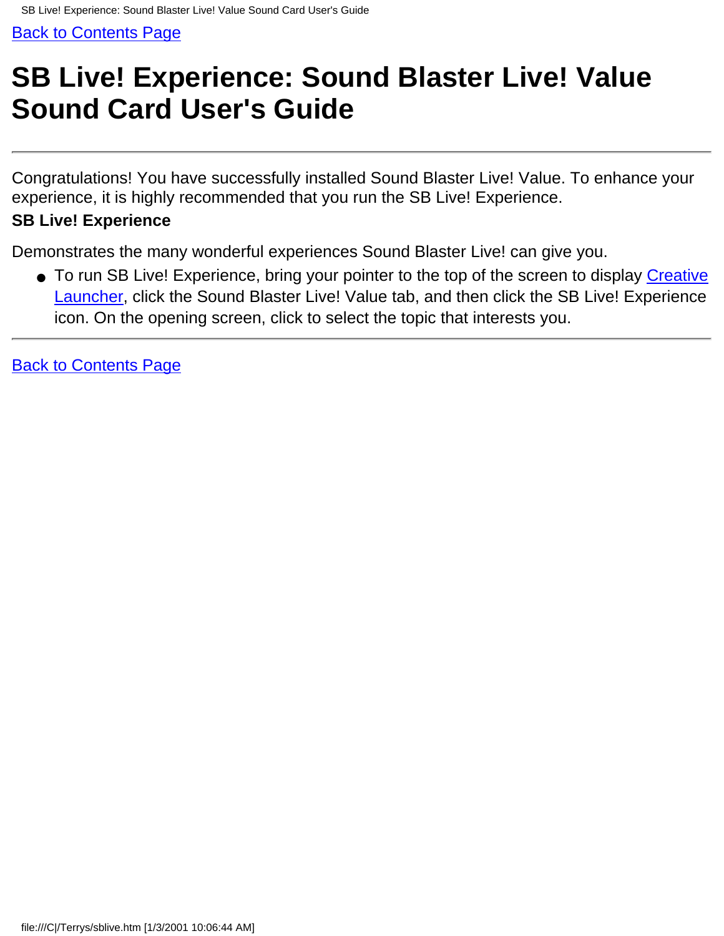# <span id="page-60-0"></span>**SB Live! Experience: Sound Blaster Live! Value Sound Card User's Guide**

Congratulations! You have successfully installed Sound Blaster Live! Value. To enhance your experience, it is highly recommended that you run the SB Live! Experience.

#### **SB Live! Experience**

Demonstrates the many wonderful experiences Sound Blaster Live! can give you.

● To run SB Live! Experience, bring your pointer to the top of the screen to display <u>Creative</u> [Launcher](#page-48-0), click the Sound Blaster Live! Value tab, and then click the SB Live! Experience icon. On the opening screen, click to select the topic that interests you.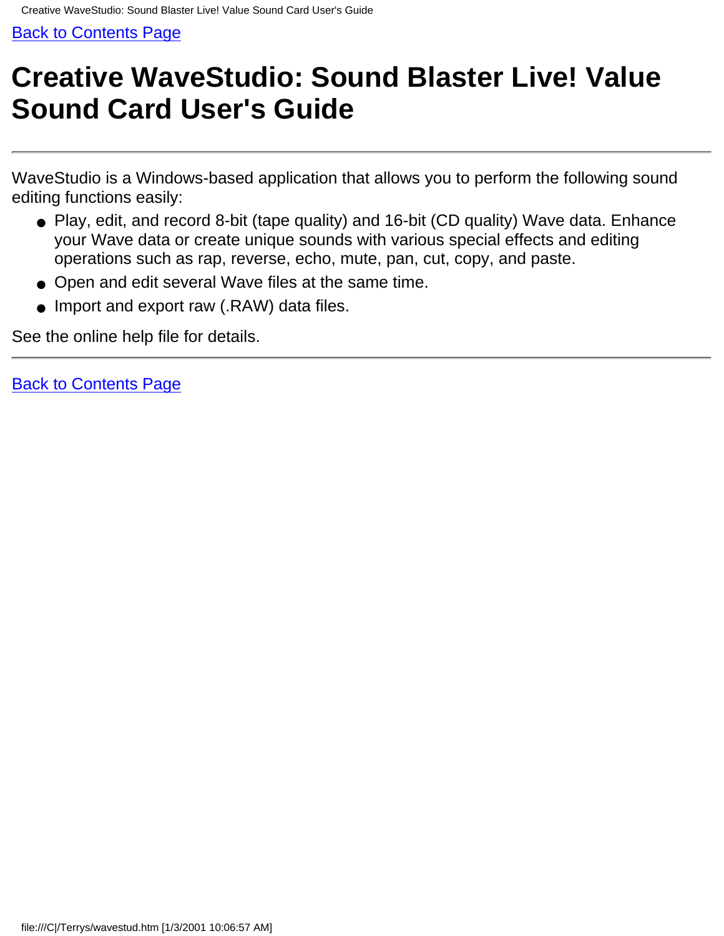# <span id="page-61-0"></span>**Creative WaveStudio: Sound Blaster Live! Value Sound Card User's Guide**

WaveStudio is a Windows-based application that allows you to perform the following sound editing functions easily:

- Play, edit, and record 8-bit (tape quality) and 16-bit (CD quality) Wave data. Enhance your Wave data or create unique sounds with various special effects and editing operations such as rap, reverse, echo, mute, pan, cut, copy, and paste.
- Open and edit several Wave files at the same time.
- Import and export raw (.RAW) data files.

See the online help file for details.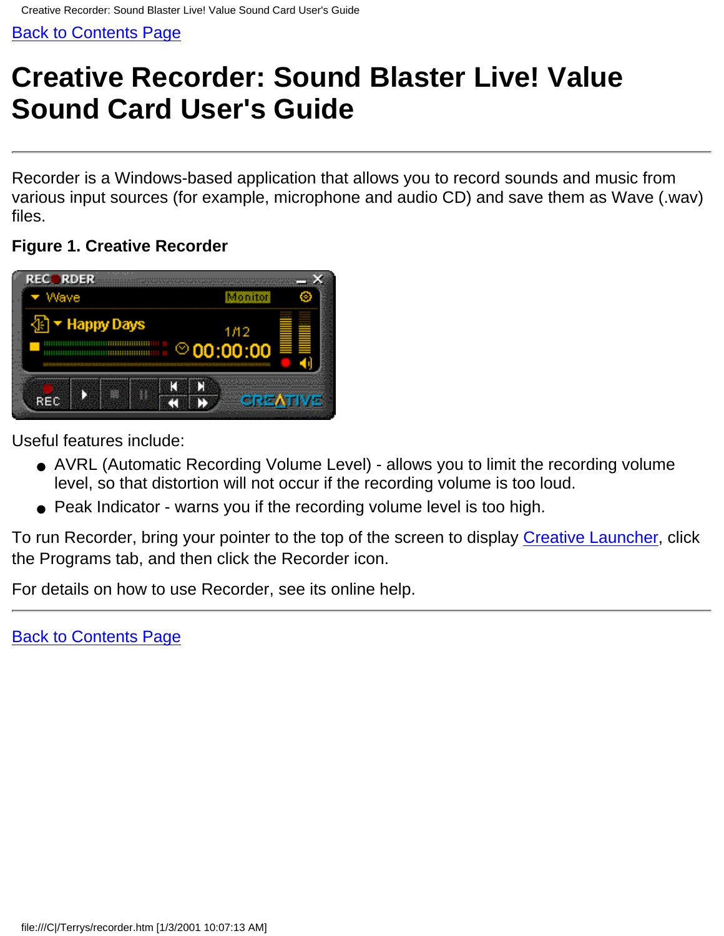# <span id="page-62-0"></span>**Creative Recorder: Sound Blaster Live! Value Sound Card User's Guide**

Recorder is a Windows-based application that allows you to record sounds and music from various input sources (for example, microphone and audio CD) and save them as Wave (.wav) files.

#### **Figure 1. Creative Recorder**

![](_page_62_Picture_5.jpeg)

Useful features include:

- AVRL (Automatic Recording Volume Level) allows you to limit the recording volume level, so that distortion will not occur if the recording volume is too loud.
- Peak Indicator warns you if the recording volume level is too high.

To run Recorder, bring your pointer to the top of the screen to display [Creative Launcher](#page-48-0), click the Programs tab, and then click the Recorder icon.

For details on how to use Recorder, see its online help.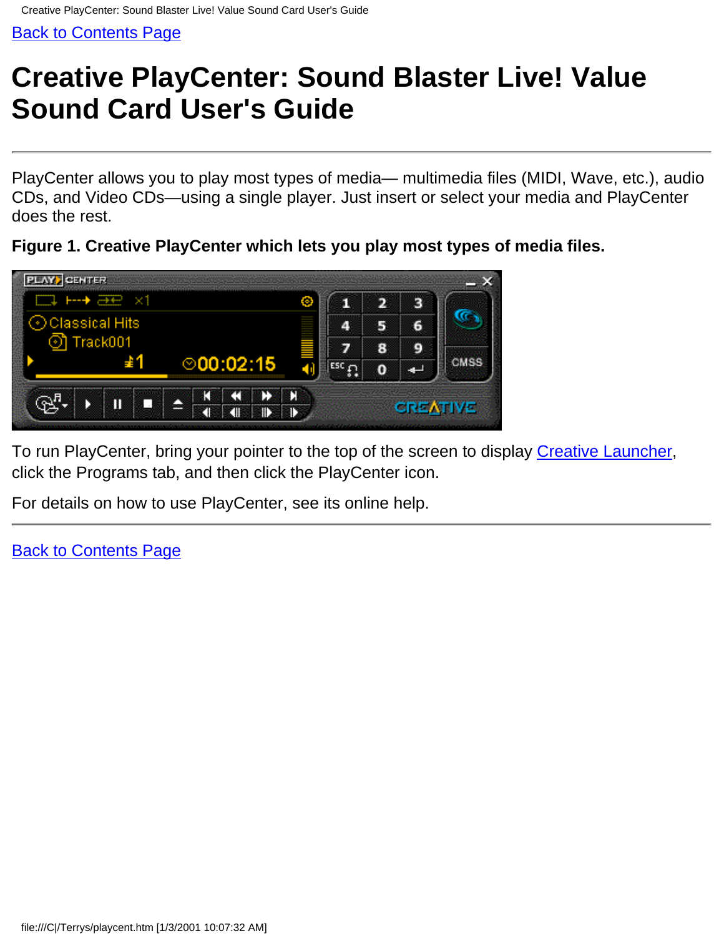# <span id="page-63-0"></span>**Creative PlayCenter: Sound Blaster Live! Value Sound Card User's Guide**

PlayCenter allows you to play most types of media— multimedia files (MIDI, Wave, etc.), audio CDs, and Video CDs—using a single player. Just insert or select your media and PlayCenter does the rest.

**Figure 1. Creative PlayCenter which lets you play most types of media files.**

![](_page_63_Picture_5.jpeg)

To run PlayCenter, bring your pointer to the top of the screen to display [Creative Launcher,](#page-48-0) click the Programs tab, and then click the PlayCenter icon.

For details on how to use PlayCenter, see its online help.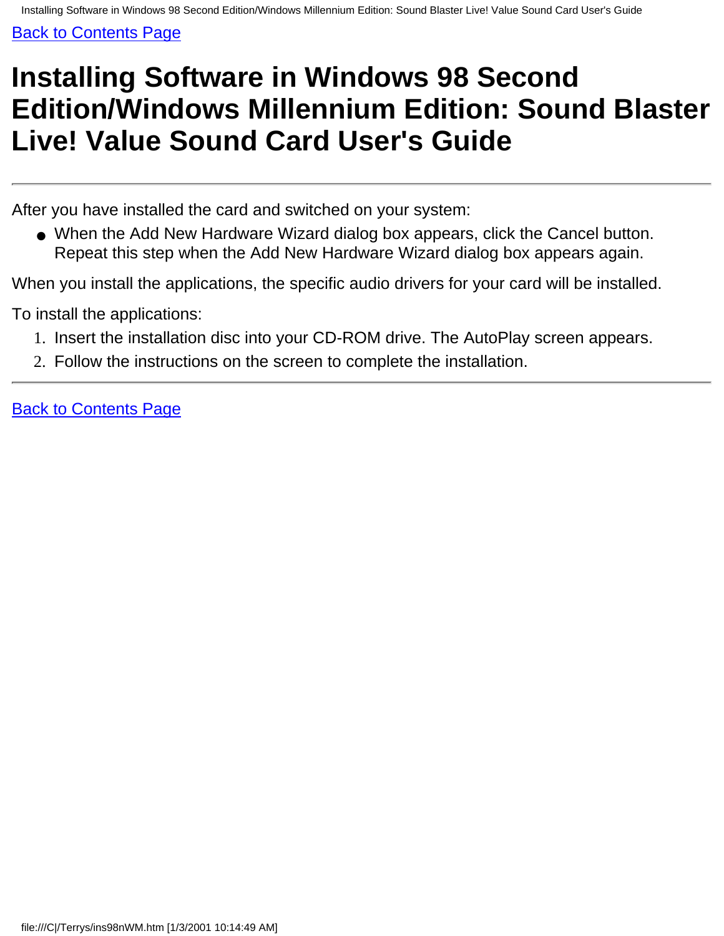# <span id="page-64-0"></span>**Installing Software in Windows 98 Second Edition/Windows Millennium Edition: Sound Blaster Live! Value Sound Card User's Guide**

After you have installed the card and switched on your system:

● When the Add New Hardware Wizard dialog box appears, click the Cancel button. Repeat this step when the Add New Hardware Wizard dialog box appears again.

When you install the applications, the specific audio drivers for your card will be installed.

To install the applications:

- 1. Insert the installation disc into your CD-ROM drive. The AutoPlay screen appears.
- 2. Follow the instructions on the screen to complete the installation.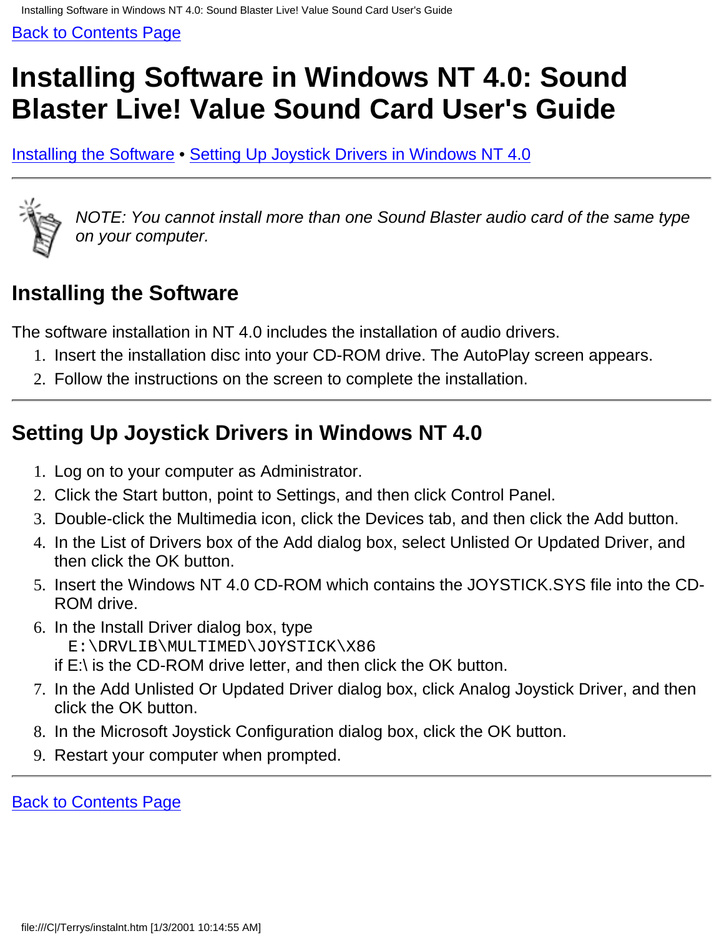# <span id="page-65-0"></span>**Installing Software in Windows NT 4.0: Sound Blaster Live! Value Sound Card User's Guide**

[Installing the Software](#page-65-1) • [Setting Up Joystick Drivers in Windows NT 4.0](#page-65-2)

![](_page_65_Picture_4.jpeg)

*NOTE: You cannot install more than one Sound Blaster audio card of the same type on your computer.*

## <span id="page-65-1"></span>**Installing the Software**

The software installation in NT 4.0 includes the installation of audio drivers.

- 1. Insert the installation disc into your CD-ROM drive. The AutoPlay screen appears.
- 2. Follow the instructions on the screen to complete the installation.

## <span id="page-65-2"></span>**Setting Up Joystick Drivers in Windows NT 4.0**

- 1. Log on to your computer as Administrator.
- 2. Click the Start button, point to Settings, and then click Control Panel.
- 3. Double-click the Multimedia icon, click the Devices tab, and then click the Add button.
- 4. In the List of Drivers box of the Add dialog box, select Unlisted Or Updated Driver, and then click the OK button.
- 5. Insert the Windows NT 4.0 CD-ROM which contains the JOYSTICK.SYS file into the CD-ROM drive.
- 6. In the Install Driver dialog box, type E:\DRVLIB\MULTIMED\JOYSTICK\X86 if E:\ is the CD-ROM drive letter, and then click the OK button.
- 7. In the Add Unlisted Or Updated Driver dialog box, click Analog Joystick Driver, and then click the OK button.
- 8. In the Microsoft Joystick Configuration dialog box, click the OK button.
- 9. Restart your computer when prompted.